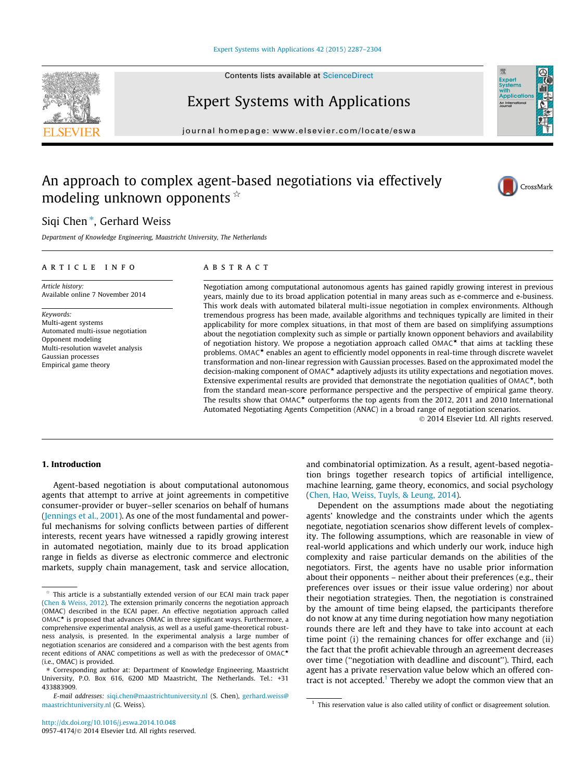#### [Expert Systems with Applications 42 \(2015\) 2287–2304](http://dx.doi.org/10.1016/j.eswa.2014.10.048)

Contents lists available at [ScienceDirect](http://www.sciencedirect.com/science/journal/09574174)

<span id="page-0-0"></span>



# Expert Systems with Applications

journal homepage: [www.elsevier.com/locate/eswa](http://www.elsevier.com/locate/eswa)

## An approach to complex agent-based negotiations via effectively modeling unknown opponents  $\dot{\alpha}$



## Siqi Chen<sup>\*</sup>, Gerhard Weiss

Department of Knowledge Engineering, Maastricht University, The Netherlands

#### article info

Article history: Available online 7 November 2014

Keywords: Multi-agent systems Automated multi-issue negotiation Opponent modeling Multi-resolution wavelet analysis Gaussian processes Empirical game theory

#### ABSTRACT

Negotiation among computational autonomous agents has gained rapidly growing interest in previous years, mainly due to its broad application potential in many areas such as e-commerce and e-business. This work deals with automated bilateral multi-issue negotiation in complex environments. Although tremendous progress has been made, available algorithms and techniques typically are limited in their applicability for more complex situations, in that most of them are based on simplifying assumptions about the negotiation complexity such as simple or partially known opponent behaviors and availability of negotiation history. We propose a negotiation approach called  $OMAC^*$  that aims at tackling these problems. OMAC $\star$  enables an agent to efficiently model opponents in real-time through discrete wavelet transformation and non-linear regression with Gaussian processes. Based on the approximated model the decision-making component of OMAC\* adaptively adjusts its utility expectations and negotiation moves. Extensive experimental results are provided that demonstrate the negotiation qualities of  $OMAC^{\star}$ , both from the standard mean-score performance perspective and the perspective of empirical game theory. The results show that  $OMAC^*$  outperforms the top agents from the 2012, 2011 and 2010 International Automated Negotiating Agents Competition (ANAC) in a broad range of negotiation scenarios.

- 2014 Elsevier Ltd. All rights reserved.

## 1. Introduction

Agent-based negotiation is about computational autonomous agents that attempt to arrive at joint agreements in competitive consumer-provider or buyer–seller scenarios on behalf of humans ([Jennings et al., 2001\)](#page-16-0). As one of the most fundamental and powerful mechanisms for solving conflicts between parties of different interests, recent years have witnessed a rapidly growing interest in automated negotiation, mainly due to its broad application range in fields as diverse as electronic commerce and electronic markets, supply chain management, task and service allocation,

and combinatorial optimization. As a result, agent-based negotiation brings together research topics of artificial intelligence, machine learning, game theory, economics, and social psychology ([Chen, Hao, Weiss, Tuyls, & Leung, 2014\)](#page-16-0).

Dependent on the assumptions made about the negotiating agents' knowledge and the constraints under which the agents negotiate, negotiation scenarios show different levels of complexity. The following assumptions, which are reasonable in view of real-world applications and which underly our work, induce high complexity and raise particular demands on the abilities of the negotiators. First, the agents have no usable prior information about their opponents – neither about their preferences (e.g., their preferences over issues or their issue value ordering) nor about their negotiation strategies. Then, the negotiation is constrained by the amount of time being elapsed, the participants therefore do not know at any time during negotiation how many negotiation rounds there are left and they have to take into account at each time point (i) the remaining chances for offer exchange and (ii) the fact that the profit achievable through an agreement decreases over time (''negotiation with deadline and discount''). Third, each agent has a private reservation value below which an offered contract is not accepted. $<sup>1</sup>$  Thereby we adopt the common view that an</sup>

 $*$  This article is a substantially extended version of our ECAI main track paper ([Chen & Weiss, 2012](#page-16-0)). The extension primarily concerns the negotiation approach (OMAC) described in the ECAI paper. An effective negotiation approach called  $OMAC^*$  is proposed that advances OMAC in three significant ways. Furthermore, a comprehensive experimental analysis, as well as a useful game-theoretical robustness analysis, is presented. In the experimental analysis a large number of negotiation scenarios are considered and a comparison with the best agents from recent editions of ANAC competitions as well as with the predecessor of OMAC<sup>\*</sup> (i.e., OMAC) is provided.

Corresponding author at: Department of Knowledge Engineering, Maastricht University, P.O. Box 616, 6200 MD Maastricht, The Netherlands. Tel.: +31 433883909.

E-mail addresses: [siqi.chen@maastrichtuniversity.nl](mailto:siqi.chen@maastrichtuniversity.nl) (S. Chen), [gerhard.weiss@](mailto:gerhard.weiss@maastrichtuniversity.nl) [maastrichtuniversity.nl](mailto:gerhard.weiss@maastrichtuniversity.nl) (G. Weiss). This reservation value is also called utility of conflict or disagreement solution.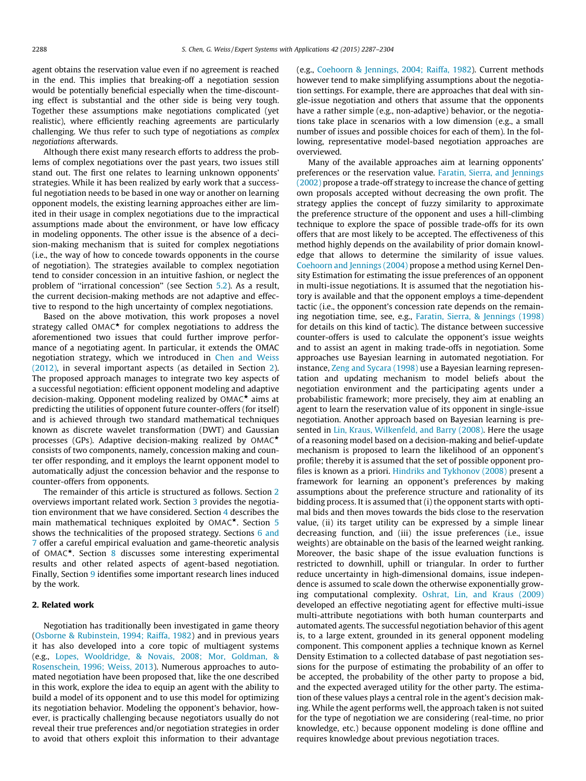agent obtains the reservation value even if no agreement is reached in the end. This implies that breaking-off a negotiation session would be potentially beneficial especially when the time-discounting effect is substantial and the other side is being very tough. Together these assumptions make negotiations complicated (yet realistic), where efficiently reaching agreements are particularly challenging. We thus refer to such type of negotiations as complex negotiations afterwards.

Although there exist many research efforts to address the problems of complex negotiations over the past years, two issues still stand out. The first one relates to learning unknown opponents' strategies. While it has been realized by early work that a successful negotiation needs to be based in one way or another on learning opponent models, the existing learning approaches either are limited in their usage in complex negotiations due to the impractical assumptions made about the environment, or have low efficacy in modeling opponents. The other issue is the absence of a decision-making mechanism that is suited for complex negotiations (i.e., the way of how to concede towards opponents in the course of negotiation). The strategies available to complex negotiation tend to consider concession in an intuitive fashion, or neglect the problem of ''irrational concession'' (see Section [5.2](#page-5-0)). As a result, the current decision-making methods are not adaptive and effective to respond to the high uncertainty of complex negotiations.

Based on the above motivation, this work proposes a novel strategy called  $OMAC^*$  for complex negotiations to address the aforementioned two issues that could further improve performance of a negotiating agent. In particular, it extends the OMAC negotiation strategy, which we introduced in [Chen and Weiss](#page-16-0) [\(2012\),](#page-16-0) in several important aspects (as detailed in Section 2). The proposed approach manages to integrate two key aspects of a successful negotiation: efficient opponent modeling and adaptive decision-making. Opponent modeling realized by  $OMAC^*$  aims at predicting the utilities of opponent future counter-offers (for itself) and is achieved through two standard mathematical techniques known as discrete wavelet transformation (DWT) and Gaussian processes (GPs). Adaptive decision-making realized by  $OMAC^{\star}$ consists of two components, namely, concession making and counter offer responding, and it employs the learnt opponent model to automatically adjust the concession behavior and the response to counter-offers from opponents.

The remainder of this article is structured as follows. Section 2 overviews important related work. Section [3](#page-2-0) provides the negotiation environment that we have considered. Section [4](#page-3-0) describes the main mathematical techniques exploited by  $OMAC^{\star}$ . Section [5](#page-5-0) shows the technicalities of the proposed strategy. Sections [6 and](#page-7-0) [7](#page-7-0) offer a careful empirical evaluation and game-theoretic analysis of OMAC $\star$ . Section [8](#page-15-0) discusses some interesting experimental results and other related aspects of agent-based negotiation. Finally, Section [9](#page-15-0) identifies some important research lines induced by the work.

## 2. Related work

Negotiation has traditionally been investigated in game theory ([Osborne & Rubinstein, 1994; Raiffa, 1982\)](#page-16-0) and in previous years it has also developed into a core topic of multiagent systems (e.g., [Lopes, Wooldridge, & Novais, 2008; Mor, Goldman, &](#page-16-0) [Rosenschein, 1996; Weiss, 2013](#page-16-0)). Numerous approaches to automated negotiation have been proposed that, like the one described in this work, explore the idea to equip an agent with the ability to build a model of its opponent and to use this model for optimizing its negotiation behavior. Modeling the opponent's behavior, however, is practically challenging because negotiators usually do not reveal their true preferences and/or negotiation strategies in order to avoid that others exploit this information to their advantage

(e.g., [Coehoorn & Jennings, 2004; Raiffa, 1982](#page-16-0)). Current methods however tend to make simplifying assumptions about the negotiation settings. For example, there are approaches that deal with single-issue negotiation and others that assume that the opponents have a rather simple (e.g., non-adaptive) behavior, or the negotiations take place in scenarios with a low dimension (e.g., a small number of issues and possible choices for each of them). In the following, representative model-based negotiation approaches are overviewed.

Many of the available approaches aim at learning opponents' preferences or the reservation value. [Faratin, Sierra, and Jennings](#page-16-0) [\(2002\)](#page-16-0) propose a trade-off strategy to increase the chance of getting own proposals accepted without decreasing the own profit. The strategy applies the concept of fuzzy similarity to approximate the preference structure of the opponent and uses a hill-climbing technique to explore the space of possible trade-offs for its own offers that are most likely to be accepted. The effectiveness of this method highly depends on the availability of prior domain knowledge that allows to determine the similarity of issue values. [Coehoorn and Jennings \(2004\)](#page-16-0) propose a method using Kernel Density Estimation for estimating the issue preferences of an opponent in multi-issue negotiations. It is assumed that the negotiation history is available and that the opponent employs a time-dependent tactic (i.e., the opponent's concession rate depends on the remaining negotiation time, see, e.g., [Faratin, Sierra, & Jennings \(1998\)](#page-16-0) for details on this kind of tactic). The distance between successive counter-offers is used to calculate the opponent's issue weights and to assist an agent in making trade-offs in negotiation. Some approaches use Bayesian learning in automated negotiation. For instance, [Zeng and Sycara \(1998\)](#page-17-0) use a Bayesian learning representation and updating mechanism to model beliefs about the negotiation environment and the participating agents under a probabilistic framework; more precisely, they aim at enabling an agent to learn the reservation value of its opponent in single-issue negotiation. Another approach based on Bayesian learning is presented in [Lin, Kraus, Wilkenfeld, and Barry \(2008\)](#page-16-0). Here the usage of a reasoning model based on a decision-making and belief-update mechanism is proposed to learn the likelihood of an opponent's profile; thereby it is assumed that the set of possible opponent profiles is known as a priori. [Hindriks and Tykhonov \(2008\)](#page-16-0) present a framework for learning an opponent's preferences by making assumptions about the preference structure and rationality of its bidding process. It is assumed that (i) the opponent starts with optimal bids and then moves towards the bids close to the reservation value, (ii) its target utility can be expressed by a simple linear decreasing function, and (iii) the issue preferences (i.e., issue weights) are obtainable on the basis of the learned weight ranking. Moreover, the basic shape of the issue evaluation functions is restricted to downhill, uphill or triangular. In order to further reduce uncertainty in high-dimensional domains, issue independence is assumed to scale down the otherwise exponentially growing computational complexity. [Oshrat, Lin, and Kraus \(2009\)](#page-16-0) developed an effective negotiating agent for effective multi-issue multi-attribute negotiations with both human counterparts and automated agents. The successful negotiation behavior of this agent is, to a large extent, grounded in its general opponent modeling component. This component applies a technique known as Kernel Density Estimation to a collected database of past negotiation sessions for the purpose of estimating the probability of an offer to be accepted, the probability of the other party to propose a bid, and the expected averaged utility for the other party. The estimation of these values plays a central role in the agent's decision making. While the agent performs well, the approach taken is not suited for the type of negotiation we are considering (real-time, no prior knowledge, etc.) because opponent modeling is done offline and requires knowledge about previous negotiation traces.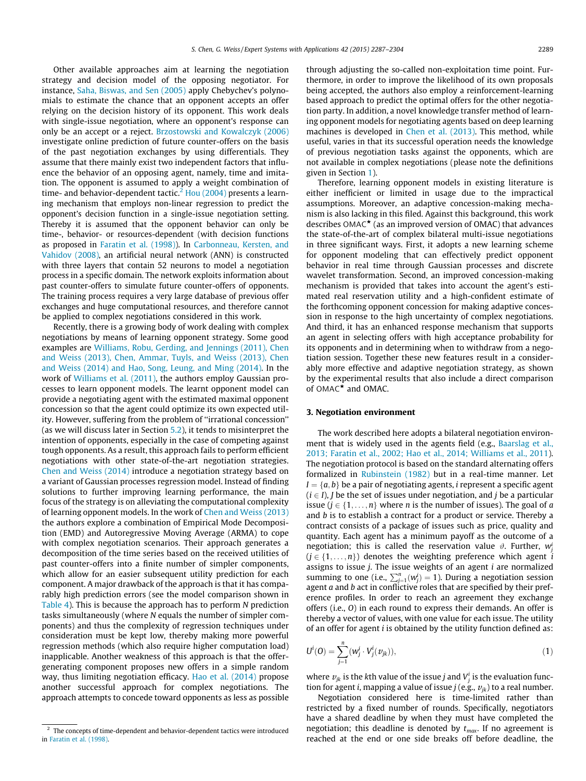<span id="page-2-0"></span>Other available approaches aim at learning the negotiation strategy and decision model of the opposing negotiator. For instance, [Saha, Biswas, and Sen \(2005\)](#page-17-0) apply Chebychev's polynomials to estimate the chance that an opponent accepts an offer relying on the decision history of its opponent. This work deals with single-issue negotiation, where an opponent's response can only be an accept or a reject. [Brzostowski and Kowalczyk \(2006\)](#page-16-0) investigate online prediction of future counter-offers on the basis of the past negotiation exchanges by using differentials. They assume that there mainly exist two independent factors that influence the behavior of an opposing agent, namely, time and imitation. The opponent is assumed to apply a weight combination of time- and behavior-dependent tactic.<sup>2</sup> [Hou \(2004\)](#page-16-0) presents a learning mechanism that employs non-linear regression to predict the opponent's decision function in a single-issue negotiation setting. Thereby it is assumed that the opponent behavior can only be time-, behavior- or resources-dependent (with decision functions as proposed in [Faratin et al. \(1998\)](#page-16-0)). In [Carbonneau, Kersten, and](#page-16-0) [Vahidov \(2008\),](#page-16-0) an artificial neural network (ANN) is constructed with three layers that contain 52 neurons to model a negotiation process in a specific domain. The network exploits information about past counter-offers to simulate future counter-offers of opponents. The training process requires a very large database of previous offer exchanges and huge computational resources, and therefore cannot be applied to complex negotiations considered in this work.

Recently, there is a growing body of work dealing with complex negotiations by means of learning opponent strategy. Some good examples are [Williams, Robu, Gerding, and Jennings \(2011\), Chen](#page-17-0) [and Weiss \(2013\), Chen, Ammar, Tuyls, and Weiss \(2013\), Chen](#page-17-0) [and Weiss \(2014\) and Hao, Song, Leung, and Ming \(2014\).](#page-17-0) In the work of [Williams et al. \(2011\)](#page-17-0), the authors employ Gaussian processes to learn opponent models. The learnt opponent model can provide a negotiating agent with the estimated maximal opponent concession so that the agent could optimize its own expected utility. However, suffering from the problem of ''irrational concession'' (as we will discuss later in Section [5.2\)](#page-5-0), it tends to misinterpret the intention of opponents, especially in the case of competing against tough opponents. As a result, this approach fails to perform efficient negotiations with other state-of-the-art negotiation strategies. [Chen and Weiss \(2014\)](#page-16-0) introduce a negotiation strategy based on a variant of Gaussian processes regression model. Instead of finding solutions to further improving learning performance, the main focus of the strategy is on alleviating the computational complexity of learning opponent models. In the work of [Chen and Weiss \(2013\)](#page-16-0) the authors explore a combination of Empirical Mode Decomposition (EMD) and Autoregressive Moving Average (ARMA) to cope with complex negotiation scenarios. Their approach generates a decomposition of the time series based on the received utilities of past counter-offers into a finite number of simpler components, which allow for an easier subsequent utility prediction for each component. A major drawback of the approach is that it has comparably high prediction errors (see the model comparison shown in [Table 4](#page-9-0)). This is because the approach has to perform N prediction tasks simultaneously (where N equals the number of simpler components) and thus the complexity of regression techniques under consideration must be kept low, thereby making more powerful regression methods (which also require higher computation load) inapplicable. Another weakness of this approach is that the offergenerating component proposes new offers in a simple random way, thus limiting negotiation efficacy. [Hao et al. \(2014\)](#page-16-0) propose another successful approach for complex negotiations. The approach attempts to concede toward opponents as less as possible through adjusting the so-called non-exploitation time point. Furthermore, in order to improve the likelihood of its own proposals being accepted, the authors also employ a reinforcement-learning based approach to predict the optimal offers for the other negotiation party. In addition, a novel knowledge transfer method of learning opponent models for negotiating agents based on deep learning machines is developed in [Chen et al. \(2013\).](#page-16-0) This method, while useful, varies in that its successful operation needs the knowledge of previous negotiation tasks against the opponents, which are not available in complex negotiations (please note the definitions given in Section [1\)](#page-0-0).

Therefore, learning opponent models in existing literature is either inefficient or limited in usage due to the impractical assumptions. Moreover, an adaptive concession-making mechanism is also lacking in this filed. Against this background, this work describes  $OMAC^{\star}$  (as an improved version of OMAC) that advances the state-of-the-art of complex bilateral multi-issue negotiations in three significant ways. First, it adopts a new learning scheme for opponent modeling that can effectively predict opponent behavior in real time through Gaussian processes and discrete wavelet transformation. Second, an improved concession-making mechanism is provided that takes into account the agent's estimated real reservation utility and a high-confident estimate of the forthcoming opponent concession for making adaptive concession in response to the high uncertainty of complex negotiations. And third, it has an enhanced response mechanism that supports an agent in selecting offers with high acceptance probability for its opponents and in determining when to withdraw from a negotiation session. Together these new features result in a considerably more effective and adaptive negotiation strategy, as shown by the experimental results that also include a direct comparison of OMAC<sup>\*</sup> and OMAC.

## 3. Negotiation environment

The work described here adopts a bilateral negotiation environment that is widely used in the agents field (e.g., [Baarslag et al.,](#page-16-0) [2013; Faratin et al., 2002; Hao et al., 2014; Williams et al., 2011\)](#page-16-0). The negotiation protocol is based on the standard alternating offers formalized in [Rubinstein \(1982\)](#page-16-0) but in a real-time manner. Let  $I = \{a, b\}$  be a pair of negotiating agents, *i* represent a specific agent  $(i \in I)$ , *I* be the set of issues under negotiation, and *j* be a particular issue  $(j \in \{1, ..., n\}$  where *n* is the number of issues). The goal of *a* and b is to establish a contract for a product or service. Thereby a contract consists of a package of issues such as price, quality and quantity. Each agent has a minimum payoff as the outcome of a negotiation; this is called the reservation value  $\vartheta$ . Further,  $w_j$  $(i \in \{1, \ldots, n\})$  denotes the weighting preference which agent i assigns to issue j. The issue weights of an agent i are normalized summing to one (i.e.,  $\sum_{j=1}^{n} (w_j^i) = 1$ ). During a negotiation session agent  $a$  and  $b$  act in conflictive roles that are specified by their preference profiles. In order to reach an agreement they exchange offers (i.e., O) in each round to express their demands. An offer is thereby a vector of values, with one value for each issue. The utility of an offer for agent i is obtained by the utility function defined as:

$$
U^{i}(0) = \sum_{j=1}^{n} (w_{j}^{i} \cdot V_{j}^{i}(v_{jk})),
$$
\n(1)

where  $v_{jk}$  is the kth value of the issue j and  $V^i_j$  is the evaluation function for agent *i*, mapping a value of issue *j* (e.g.,  $v_{ik}$ ) to a real number.

Negotiation considered here is time-limited rather than restricted by a fixed number of rounds. Specifically, negotiators have a shared deadline by when they must have completed the negotiation; this deadline is denoted by  $t_{max}$ . If no agreement is reached at the end or one side breaks off before deadline, the

<sup>2</sup> The concepts of time-dependent and behavior-dependent tactics were introduced in [Faratin et al. \(1998\).](#page-16-0)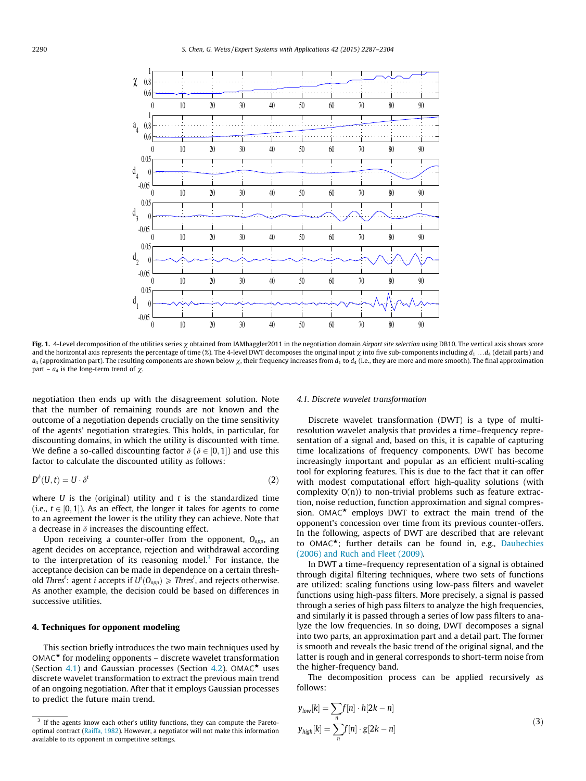<span id="page-3-0"></span>

Fig. 1. 4-Level decomposition of the utilities series  $\chi$  obtained from IAMhaggler2011 in the negotiation domain Airport site selection using DB10. The vertical axis shows score and the horizontal axis represents the percentage of time (%). The 4-level DWT decomposes the original input  $\chi$  into five sub-components including  $d_1 \ldots d_4$  (detail parts) and  $a_4$  (approximation part). The resulting components are shown below  $\chi$ , their frequency increases from  $d_1$  to  $d_4$  (i.e., they are more and more smooth). The final approximation part –  $a_4$  is the long-term trend of  $\chi$ .

negotiation then ends up with the disagreement solution. Note that the number of remaining rounds are not known and the outcome of a negotiation depends crucially on the time sensitivity of the agents' negotiation strategies. This holds, in particular, for discounting domains, in which the utility is discounted with time. We define a so-called discounting factor  $\delta$  ( $\delta \in [0, 1]$ ) and use this factor to calculate the discounted utility as follows:

$$
D^{\delta}(U,t) = U \cdot \delta^t \tag{2}
$$

where  $U$  is the (original) utility and  $t$  is the standardized time (i.e.,  $t \in [0, 1]$ ). As an effect, the longer it takes for agents to come to an agreement the lower is the utility they can achieve. Note that a decrease in  $\delta$  increases the discounting effect.

Upon receiving a counter-offer from the opponent,  $O_{opp}$ , an agent decides on acceptance, rejection and withdrawal according to the interpretation of its reasoning model.<sup>3</sup> For instance, the acceptance decision can be made in dependence on a certain threshold Thres $^i$ : agent i accepts if  $U^i(O_{opp})\geqslant$  Thres $^i$ , and rejects otherwise. As another example, the decision could be based on differences in successive utilities.

#### 4. Techniques for opponent modeling

This section briefly introduces the two main techniques used by  $OMAC^{\star}$  for modeling opponents – discrete wavelet transformation (Section 4.1) and Gaussian processes (Section [4.2](#page-4-0)). OMAC<sup>\*</sup> uses discrete wavelet transformation to extract the previous main trend of an ongoing negotiation. After that it employs Gaussian processes to predict the future main trend.

#### 4.1. Discrete wavelet transformation

Discrete wavelet transformation (DWT) is a type of multiresolution wavelet analysis that provides a time–frequency representation of a signal and, based on this, it is capable of capturing time localizations of frequency components. DWT has become increasingly important and popular as an efficient multi-scaling tool for exploring features. This is due to the fact that it can offer with modest computational effort high-quality solutions (with complexity O(n)) to non-trivial problems such as feature extraction, noise reduction, function approximation and signal compression. OMAC<sup>\*</sup> employs DWT to extract the main trend of the opponent's concession over time from its previous counter-offers. In the following, aspects of DWT are described that are relevant to OMAC<sup>\*</sup>; further details can be found in, e.g., [Daubechies](#page-16-0) [\(2006\) and Ruch and Fleet \(2009\).](#page-16-0)

In DWT a time–frequency representation of a signal is obtained through digital filtering techniques, where two sets of functions are utilized: scaling functions using low-pass filters and wavelet functions using high-pass filters. More precisely, a signal is passed through a series of high pass filters to analyze the high frequencies, and similarly it is passed through a series of low pass filters to analyze the low frequencies. In so doing, DWT decomposes a signal into two parts, an approximation part and a detail part. The former is smooth and reveals the basic trend of the original signal, and the latter is rough and in general corresponds to short-term noise from the higher-frequency band.

The decomposition process can be applied recursively as follows:

$$
y_{low}[k] = \sum_{n} f[n] \cdot h[2k - n]
$$
  
\n
$$
y_{high}[k] = \sum_{n} f[n] \cdot g[2k - n]
$$
\n(3)

<sup>&</sup>lt;sup>3</sup> If the agents know each other's utility functions, they can compute the Paretooptimal contract ([Raiffa, 1982\)](#page-16-0). However, a negotiator will not make this information available to its opponent in competitive settings.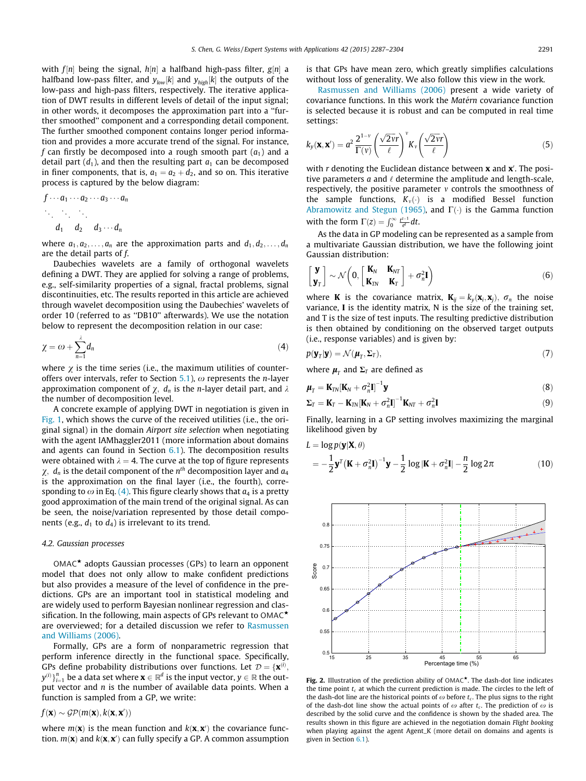<span id="page-4-0"></span>with  $f[n]$  being the signal,  $h[n]$  a halfband high-pass filter,  $g[n]$  a halfband low-pass filter, and  $y_{low}[k]$  and  $y_{high}[k]$  the outputs of the low-pass and high-pass filters, respectively. The iterative application of DWT results in different levels of detail of the input signal; in other words, it decomposes the approximation part into a ''further smoothed'' component and a corresponding detail component. The further smoothed component contains longer period information and provides a more accurate trend of the signal. For instance, f can firstly be decomposed into a rough smooth part  $(a_1)$  and a detail part  $(d_1)$ , and then the resulting part  $a_1$  can be decomposed in finer components, that is,  $a_1 = a_2 + d_2$ , and so on. This iterative process is captured by the below diagram:

$$
f \cdots a_1 \cdots a_2 \cdots a_3 \cdots a_n
$$
  

$$
\vdots \qquad \vdots
$$
  

$$
d_1 \quad d_2 \quad d_3 \cdots d_n
$$

where  $a_1, a_2, \ldots, a_n$  are the approximation parts and  $d_1, d_2, \ldots, d_n$ are the detail parts of f.

Daubechies wavelets are a family of orthogonal wavelets defining a DWT. They are applied for solving a range of problems, e.g., self-similarity properties of a signal, fractal problems, signal discontinuities, etc. The results reported in this article are achieved through wavelet decomposition using the Daubechies' wavelets of order 10 (referred to as ''DB10'' afterwards). We use the notation below to represent the decomposition relation in our case:

$$
\chi = \omega + \sum_{n=1}^{\lambda} d_n \tag{4}
$$

where  $\chi$  is the time series (i.e., the maximum utilities of counter-offers over intervals, refer to Section [5.1\)](#page-5-0),  $\omega$  represents the *n*-layer approximation component of  $\chi$ ,  $d_n$  is the *n*-layer detail part, and  $\lambda$ the number of decomposition level.

A concrete example of applying DWT in negotiation is given in [Fig. 1,](#page-3-0) which shows the curve of the received utilities (i.e., the original signal) in the domain Airport site selection when negotiating with the agent IAMhaggler2011 (more information about domains and agents can found in Section  $6.1$ ). The decomposition results were obtained with  $\lambda = 4$ . The curve at the top of figure represents  $\chi$ ,  $d_n$  is the detail component of the  $n^{th}$  decomposition layer and  $a_4$ is the approximation on the final layer (i.e., the fourth), corresponding to  $\omega$  in Eq. (4). This figure clearly shows that  $a_4$  is a pretty good approximation of the main trend of the original signal. As can be seen, the noise/variation represented by those detail components (e.g.,  $d_1$  to  $d_4$ ) is irrelevant to its trend.

#### 4.2. Gaussian processes

 $OMAC^{\star}$  adopts Gaussian processes (GPs) to learn an opponent model that does not only allow to make confident predictions but also provides a measure of the level of confidence in the predictions. GPs are an important tool in statistical modeling and are widely used to perform Bayesian nonlinear regression and classification. In the following, main aspects of GPs relevant to  $OMAC^*$ are overviewed; for a detailed discussion we refer to [Rasmussen](#page-16-0) [and Williams \(2006\).](#page-16-0)

Formally, GPs are a form of nonparametric regression that perform inference directly in the functional space. Specifically, GPs define probability distributions over functions. Let  $\mathcal{D} = \{ \mathbf{x}^{(i)}, \dots \}$  $\mathcal{Y}^{(i)}\}_{i=1}^n$  be a data set where  $\mathbf{x}\in\mathbb{R}^d$  is the input vector,  $y\in\mathbb{R}$  the output vector and  $n$  is the number of available data points. When a function is sampled from a GP, we write:

 $f(\mathbf{x}) \sim \mathcal{GP}(m(\mathbf{x}), k(\mathbf{x}, \mathbf{x}'))$ 

where  $m(\mathbf{x})$  is the mean function and  $k(\mathbf{x}, \mathbf{x}')$  the covariance function.  $m(\mathbf{x})$  and  $k(\mathbf{x},\mathbf{x}')$  can fully specify a GP. A common assumption is that GPs have mean zero, which greatly simplifies calculations without loss of generality. We also follow this view in the work.

[Rasmussen and Williams \(2006\)](#page-16-0) present a wide variety of covariance functions. In this work the Matérn covariance function is selected because it is robust and can be computed in real time settings:

$$
k_{y}(\mathbf{x}, \mathbf{x}') = a^{2} \frac{2^{1-\nu}}{\Gamma(\nu)} \left(\frac{\sqrt{2\nu}r}{\ell}\right)^{\nu} K_{\nu} \left(\frac{\sqrt{2\nu}r}{\ell}\right)
$$
(5)

with  $r$  denoting the Euclidean distance between  $\bf{x}$  and  $\bf{x}'$ . The positive parameters  $a$  and  $\ell$  determine the amplitude and length-scale, respectively, the positive parameter  $\nu$  controls the smoothness of the sample functions,  $K_v(\cdot)$  is a modified Bessel function [Abramowitz and Stegun \(1965\)](#page-16-0), and  $\Gamma(\cdot)$  is the Gamma function with the form  $\Gamma(z) = \int_0^\infty \frac{t^{z-1}}{e^t} dt$ .

As the data in GP modeling can be represented as a sample from a multivariate Gaussian distribution, we have the following joint Gaussian distribution:

$$
\begin{bmatrix} \mathbf{y} \\ \mathbf{y}_T \end{bmatrix} \sim \mathcal{N} \left( 0, \begin{bmatrix} \mathbf{K}_N & \mathbf{K}_{NT} \\ \mathbf{K}_{TN} & \mathbf{K}_T \end{bmatrix} + \sigma_n^2 \mathbf{I} \right)
$$
 (6)

where **K** is the covariance matrix,  $\mathbf{K}_{ij} = k_y(\mathbf{x}_i, \mathbf{x}_j)$ ,  $\sigma_n$  the noise variance, I is the identity matrix, N is the size of the training set, and T is the size of test inputs. The resulting predictive distribution is then obtained by conditioning on the observed target outputs (i.e., response variables) and is given by:

$$
p(\mathbf{y}_T|\mathbf{y}) = \mathcal{N}(\boldsymbol{\mu}_T, \boldsymbol{\Sigma}_T),
$$
\n(7)

where  $\mu$ <sub>T</sub> and  $\Sigma$ <sub>T</sub> are defined as

$$
\boldsymbol{\mu}_T = \mathbf{K}_{TN} [\mathbf{K}_N + \sigma_n^2 \mathbf{I}]^{-1} \mathbf{y}
$$
\n(8)

$$
\Sigma_T = \mathbf{K}_T - \mathbf{K}_{TN} [\mathbf{K}_N + \sigma_n^2 \mathbf{I}]^{-1} \mathbf{K}_{NT} + \sigma_n^2 \mathbf{I}
$$
\n(9)

Finally, learning in a GP setting involves maximizing the marginal likelihood given by

$$
L = \log p(\mathbf{y}|\mathbf{X}, \theta)
$$
  
=  $-\frac{1}{2}\mathbf{y}^T(\mathbf{K} + \sigma_n^2 \mathbf{I})^{-1}\mathbf{y} - \frac{1}{2}\log|\mathbf{K} + \sigma_n^2 \mathbf{I}| - \frac{n}{2}\log 2\pi$  (10)



Fig. 2. Illustration of the prediction ability of  $OMAC^{\star}$ . The dash-dot line indicates the time point  $t_c$  at which the current prediction is made. The circles to the left of the dash-dot line are the historical points of  $\omega$  before  $t_c$ . The plus signs to the right of the dash-dot line show the actual points of  $\omega$  after  $t_c$ . The prediction of  $\omega$  is described by the solid curve and the confidence is shown by the shaded area. The results shown in this figure are achieved in the negotiation domain Flight booking when playing against the agent Agent\_K (more detail on domains and agents is given in Section [6.1](#page-7-0)).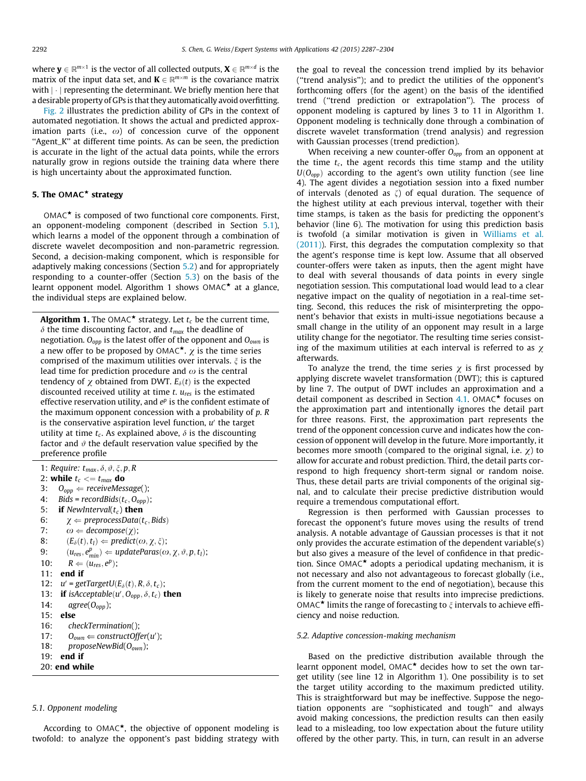<span id="page-5-0"></span>where  $\mathbf{v} \in \mathbb{R}^{m \times 1}$  is the vector of all collected outputs,  $\mathbf{X} \in \mathbb{R}^{m \times d}$  is the matrix of the input data set, and  $\mathbf{K} \in \mathbb{R}^{m \times m}$  is the covariance matrix with j-j representing the determinant. We briefly mention here that a desirable property of GPs is that they automatically avoid overfitting.

[Fig. 2](#page-4-0) illustrates the prediction ability of GPs in the context of automated negotiation. It shows the actual and predicted approximation parts (i.e.,  $\omega$ ) of concession curve of the opponent ''Agent\_K'' at different time points. As can be seen, the prediction is accurate in the light of the actual data points, while the errors naturally grow in regions outside the training data where there is high uncertainty about the approximated function.

## 5. The OMAC $*$  strategy

 $OMAC^*$  is composed of two functional core components. First, an opponent-modeling component (described in Section 5.1), which learns a model of the opponent through a combination of discrete wavelet decomposition and non-parametric regression. Second, a decision-making component, which is responsible for adaptively making concessions (Section 5.2) and for appropriately responding to a counter-offer (Section [5.3\)](#page-7-0) on the basis of the learnt opponent model. Algorithm 1 shows  $OMAC^*$  at a glance, the individual steps are explained below.

**Algorithm 1.** The OMAC<sup>\*</sup> strategy. Let  $t_c$  be the current time,  $\delta$  the time discounting factor, and  $t_{max}$  the deadline of negotiation.  $O_{opp}$  is the latest offer of the opponent and  $O_{own}$  is a new offer to be proposed by OMAC\*.  $\chi$  is the time series comprised of the maximum utilities over intervals.  $\xi$  is the lead time for prediction procedure and  $\omega$  is the central tendency of  $\chi$  obtained from DWT.  $E_{\delta}(t)$  is the expected discounted received utility at time  $t$ .  $u_{res}$  is the estimated effective reservation utility, and  $e^p$  is the confident estimate of the maximum opponent concession with a probability of  $p$ .  $R$ is the conservative aspiration level function,  $u'$  the target utility at time  $t_c$ . As explained above,  $\delta$  is the discounting factor and  $\vartheta$  the default reservation value specified by the preference profile

1: Require:  $t_{max}$ ,  $\delta$ ,  $\vartheta$ ,  $\xi$ ,  $p$ ,  $R$ 2: while  $t_c \leq t_{max}$  do 3:  $O_{opp} \leftarrow receiveMessage();$ 4: Bids = recordBids( $t_c$ , O<sub>opp</sub>); 5: if NewInterval( $t_c$ ) then 6:  $\gamma \Leftarrow$  preprocessData(t<sub>c</sub>, Bids) 7:  $\omega \Leftarrow decompose(\chi);$ 8:  $(E_{\delta}(t), t_{l}) \Leftarrow \text{predict}(\omega, \chi, \xi);$ 9:  $(u_{res}, e_{min}^p) \Leftarrow updateParas(\omega, \chi, \vartheta, p, t_l);$ 10:  $R \leftarrow (u_{res}, e^p);$ 11: end if 12:  $u' = getTargetU(E_{\delta}(t), R, \delta, t_c);$ 13: if is Acceptable  $(u', O_{opp}, \delta, t_c)$  then 14:  $agree(O_{opp});$ 15: else 16: checkTermination(); 17:  $O_{own} \leftarrow constructOffer(u');$ 18: proposeNewBid( $O_{own}$ ); 19: end if 20: end while

## 5.1. Opponent modeling

According to  $OMAC^*$ , the objective of opponent modeling is twofold: to analyze the opponent's past bidding strategy with the goal to reveal the concession trend implied by its behavior (''trend analysis''); and to predict the utilities of the opponent's forthcoming offers (for the agent) on the basis of the identified trend (''trend prediction or extrapolation''). The process of opponent modeling is captured by lines 3 to 11 in Algorithm 1. Opponent modeling is technically done through a combination of discrete wavelet transformation (trend analysis) and regression with Gaussian processes (trend prediction).

When receiving a new counter-offer  $O_{opp}$  from an opponent at the time  $t_c$ , the agent records this time stamp and the utility  $U(O_{opp})$  according to the agent's own utility function (see line 4). The agent divides a negotiation session into a fixed number of intervals (denoted as  $\zeta$ ) of equal duration. The sequence of the highest utility at each previous interval, together with their time stamps, is taken as the basis for predicting the opponent's behavior (line 6). The motivation for using this prediction basis is twofold (a similar motivation is given in [Williams et al.](#page-17-0) [\(2011\)\)](#page-17-0). First, this degrades the computation complexity so that the agent's response time is kept low. Assume that all observed counter-offers were taken as inputs, then the agent might have to deal with several thousands of data points in every single negotiation session. This computational load would lead to a clear negative impact on the quality of negotiation in a real-time setting. Second, this reduces the risk of misinterpreting the opponent's behavior that exists in multi-issue negotiations because a small change in the utility of an opponent may result in a large utility change for the negotiator. The resulting time series consisting of the maximum utilities at each interval is referred to as  $\chi$ afterwards.

To analyze the trend, the time series  $\chi$  is first processed by applying discrete wavelet transformation (DWT); this is captured by line 7. The output of DWT includes an approximation and a detail component as described in Section [4.1](#page-3-0). OMAC $*$  focuses on the approximation part and intentionally ignores the detail part for three reasons. First, the approximation part represents the trend of the opponent concession curve and indicates how the concession of opponent will develop in the future. More importantly, it becomes more smooth (compared to the original signal, i.e.  $\gamma$ ) to allow for accurate and robust prediction. Third, the detail parts correspond to high frequency short-term signal or random noise. Thus, these detail parts are trivial components of the original signal, and to calculate their precise predictive distribution would require a tremendous computational effort.

Regression is then performed with Gaussian processes to forecast the opponent's future moves using the results of trend analysis. A notable advantage of Gaussian processes is that it not only provides the accurate estimation of the dependent variable(s) but also gives a measure of the level of confidence in that prediction. Since OMAC<sup>\*</sup> adopts a periodical updating mechanism, it is not necessary and also not advantageous to forecast globally (i.e., from the current moment to the end of negotiation), because this is likely to generate noise that results into imprecise predictions. OMAC<sup>\*</sup> limits the range of forecasting to  $\xi$  intervals to achieve efficiency and noise reduction.

## 5.2. Adaptive concession-making mechanism

Based on the predictive distribution available through the learnt opponent model,  $OMAC^*$  decides how to set the own target utility (see line 12 in Algorithm 1). One possibility is to set the target utility according to the maximum predicted utility. This is straightforward but may be ineffective. Suppose the negotiation opponents are ''sophisticated and tough'' and always avoid making concessions, the prediction results can then easily lead to a misleading, too low expectation about the future utility offered by the other party. This, in turn, can result in an adverse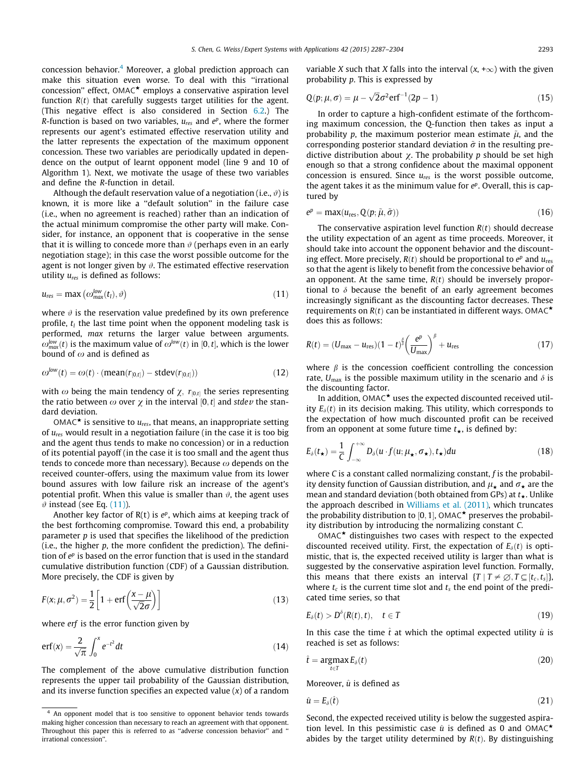concession behavior.4 Moreover, a global prediction approach can make this situation even worse. To deal with this ''irrational concession" effect,  $OMAC^*$  employs a conservative aspiration level function  $R(t)$  that carefully suggests target utilities for the agent. (This negative effect is also considered in Section [6.2.](#page-8-0)) The R-function is based on two variables,  $u_{res}$  and  $e^p$ , where the former represents our agent's estimated effective reservation utility and the latter represents the expectation of the maximum opponent concession. These two variables are periodically updated in dependence on the output of learnt opponent model (line 9 and 10 of Algorithm 1). Next, we motivate the usage of these two variables and define the R-function in detail.

Although the default reservation value of a negotiation (i.e.,  $\vartheta$ ) is known, it is more like a ''default solution'' in the failure case (i.e., when no agreement is reached) rather than an indication of the actual minimum compromise the other party will make. Consider, for instance, an opponent that is cooperative in the sense that it is willing to concede more than  $\vartheta$  (perhaps even in an early negotiation stage); in this case the worst possible outcome for the agent is not longer given by  $\vartheta$ . The estimated effective reservation utility  $u_{res}$  is defined as follows:

$$
u_{res} = \max(\omega_{max}^{low}(t_l), \vartheta)
$$
\n(11)

where  $\vartheta$  is the reservation value predefined by its own preference profile,  $t_i$  the last time point when the opponent modeling task is performed, max returns the larger value between arguments.  $\omega^{\text{low}}_{\text{max}}(t)$  is the maximum value of  $\omega^{\text{low}}(t)$  in [0, t], which is the lower bound of  $\omega$  and is defined as

$$
\omega^{\text{low}}(t) = \omega(t) \cdot (\text{mean}(r_{[0,t]}) - \text{stdev}(r_{[0,t]})) \tag{12}
$$

with  $\omega$  being the main tendency of  $\chi$ ,  $r_{[0,t]}$  the series representing the ratio between  $\omega$  over  $\chi$  in the interval [0, t] and stdev the standard deviation.

OMAC<sup>\*</sup> is sensitive to  $u_{res}$ , that means, an inappropriate setting of  $u_{res}$  would result in a negotiation failure (in the case it is too big and the agent thus tends to make no concession) or in a reduction of its potential payoff (in the case it is too small and the agent thus tends to concede more than necessary). Because  $\omega$  depends on the received counter-offers, using the maximum value from its lower bound assures with low failure risk an increase of the agent's potential profit. When this value is smaller than  $\vartheta$ , the agent uses  $\vartheta$  instead (see Eq. (11)).

Another key factor of  $R(t)$  is  $e^p$ , which aims at keeping track of the best forthcoming compromise. Toward this end, a probability parameter  $p$  is used that specifies the likelihood of the prediction (i.e., the higher p, the more confident the prediction). The definition of  $e^p$  is based on the error function that is used in the standard cumulative distribution function (CDF) of a Gaussian distribution. More precisely, the CDF is given by

$$
F(x; \mu, \sigma^2) = \frac{1}{2} \left[ 1 + \text{erf}\left(\frac{x - \mu}{\sqrt{2}\sigma}\right) \right]
$$
 (13)

where *erf* is the error function given by

$$
\operatorname{erf}(x) = \frac{2}{\sqrt{\pi}} \int_0^x e^{-t^2} dt \tag{14}
$$

The complement of the above cumulative distribution function represents the upper tail probability of the Gaussian distribution, and its inverse function specifies an expected value  $(x)$  of a random variable X such that X falls into the interval  $(x, +\infty)$  with the given probability p. This is expressed by

$$
Q(p; \mu, \sigma) = \mu - \sqrt{2}\sigma^2 erf^{-1}(2p - 1)
$$
 (15)

In order to capture a high-confident estimate of the forthcoming maximum concession, the Q-function then takes as input a probability p, the maximum posterior mean estimate  $\tilde{\mu}$ , and the corresponding posterior standard deviation  $\tilde{\sigma}$  in the resulting predictive distribution about  $\chi$ . The probability p should be set high enough so that a strong confidence about the maximal opponent concession is ensured. Since  $u_{res}$  is the worst possible outcome, the agent takes it as the minimum value for  $e^p$ . Overall, this is captured by

$$
e^p = \max(u_{\text{res}}, Q(p; \tilde{\mu}, \tilde{\sigma})) \tag{16}
$$

The conservative aspiration level function  $R(t)$  should decrease the utility expectation of an agent as time proceeds. Moreover, it should take into account the opponent behavior and the discounting effect. More precisely,  $R(t)$  should be proportional to  $e^p$  and  $u_{res}$ so that the agent is likely to benefit from the concessive behavior of an opponent. At the same time,  $R(t)$  should be inversely proportional to  $\delta$  because the benefit of an early agreement becomes increasingly significant as the discounting factor decreases. These requirements on  $R(t)$  can be instantiated in different ways. OMAC<sup>\*</sup> does this as follows:

$$
R(t) = (U_{\text{max}} - u_{\text{res}})(1 - t)^{\frac{\beta}{2}} \left(\frac{e^p}{U_{\text{max}}}\right)^{\beta} + u_{\text{res}}
$$
(17)

where  $\beta$  is the concession coefficient controlling the concession rate,  $U_{\text{max}}$  is the possible maximum utility in the scenario and  $\delta$  is the discounting factor.

In addition,  $OMAC^*$  uses the expected discounted received utility  $E_{\delta}(t)$  in its decision making. This utility, which corresponds to the expectation of how much discounted profit can be received from an opponent at some future time  $t_{\star}$ , is defined by:

$$
E_{\delta}(t_{\star}) = \frac{1}{C} \int_{-\infty}^{+\infty} D_{\delta}(u \cdot f(u; \mu_{\star}, \sigma_{\star}), t_{\star}) du
$$
 (18)

where  $C$  is a constant called normalizing constant,  $f$  is the probability density function of Gaussian distribution, and  $\mu_{\star}$  and  $\sigma_{\star}$  are the mean and standard deviation (both obtained from GPs) at  $t_{\star}$ . Unlike the approach described in [Williams et al. \(2011\),](#page-17-0) which truncates the probability distribution to  $[0, 1]$ , OMAC\* preserves the probability distribution by introducing the normalizing constant C.

 $OMAC^{\star}$  distinguishes two cases with respect to the expected discounted received utility. First, the expectation of  $E_{\delta}(t)$  is optimistic, that is, the expected received utility is larger than what is suggested by the conservative aspiration level function. Formally, this means that there exists an interval  $\{T \mid T \neq \emptyset, T \subseteq [t_c, t_s]\},\$ where  $t_c$  is the current time slot and  $t_s$  the end point of the predicated time series, so that

$$
E_{\delta}(t) > D^{\delta}(R(t), t), \quad t \in T
$$
\n(19)

In this case the time  $\hat{t}$  at which the optimal expected utility  $\hat{u}$  is reached is set as follows:

$$
\hat{t} = \underset{t \in T}{\operatorname{argmax}} E_{\delta}(t) \tag{20}
$$

Moreover,  $\hat{u}$  is defined as

$$
\hat{u} = E_{\delta}(\hat{t}) \tag{21}
$$

Second, the expected received utility is below the suggested aspiration level. In this pessimistic case  $\hat{u}$  is defined as 0 and OMAC<sup>\*</sup> abides by the target utility determined by  $R(t)$ . By distinguishing

 $4$  An opponent model that is too sensitive to opponent behavior tends towards making higher concession than necessary to reach an agreement with that opponent. Throughout this paper this is referred to as ''adverse concession behavior'' and '' irrational concession''.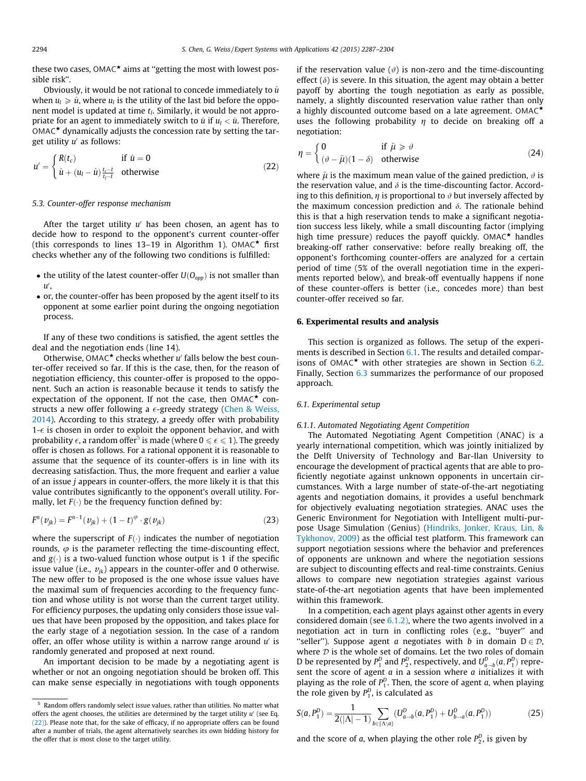<span id="page-7-0"></span>these two cases,  $OMAC^{\star}$  aims at "getting the most with lowest possible risk''.

Obviously, it would be not rational to concede immediately to  $\hat{u}$ when  $u_l \geq \hat{u}$ , where  $u_l$  is the utility of the last bid before the opponent model is updated at time  $t_l$ . Similarly, it would be not appropriate for an agent to immediately switch to  $\hat{u}$  if  $u_l < \hat{u}$ . Therefore,  $OMAC^{\star}$  dynamically adjusts the concession rate by setting the target utility  $u'$  as follows:

$$
u' = \begin{cases} R(t_c) & \text{if } \hat{u} = 0\\ \hat{u} + (u_l - \hat{u})\frac{t_c - \hat{t}}{t_l - \hat{t}} & \text{otherwise} \end{cases}
$$
(22)

## 5.3. Counter-offer response mechanism

After the target utility  $u'$  has been chosen, an agent has to decide how to respond to the opponent's current counter-offer (this corresponds to lines 13–19 in Algorithm 1). OMAC<sup>\*</sup> first checks whether any of the following two conditions is fulfilled:

- the utility of the latest counter-offer  $U(O_{opp})$  is not smaller than  $u',$
- or, the counter-offer has been proposed by the agent itself to its opponent at some earlier point during the ongoing negotiation process.

If any of these two conditions is satisfied, the agent settles the deal and the negotiation ends (line 14).

Otherwise, OMAC $\star$  checks whether u' falls below the best counter-offer received so far. If this is the case, then, for the reason of negotiation efficiency, this counter-offer is proposed to the opponent. Such an action is reasonable because it tends to satisfy the expectation of the opponent. If not the case, then  $OMAC^*$  constructs a new offer following a  $\epsilon$ -greedy strategy [\(Chen & Weiss,](#page-16-0) [2014\)](#page-16-0). According to this strategy, a greedy offer with probability  $1-\epsilon$  is chosen in order to exploit the opponent behavior, and with probability  $\epsilon$ , a random offer $^5$  is made (where  $0\leqslant \epsilon \leqslant 1$  ). The greedy offer is chosen as follows. For a rational opponent it is reasonable to assume that the sequence of its counter-offers is in line with its decreasing satisfaction. Thus, the more frequent and earlier a value of an issue j appears in counter-offers, the more likely it is that this value contributes significantly to the opponent's overall utility. Formally, let  $F(\cdot)$  be the frequency function defined by:

$$
F^{n}(v_{jk}) = F^{n-1}(v_{jk}) + (1-t)^{\varphi} \cdot g(v_{jk})
$$
\n(23)

where the superscript of  $F(\cdot)$  indicates the number of negotiation rounds,  $\varphi$  is the parameter reflecting the time-discounting effect, and  $g(\cdot)$  is a two-valued function whose output is 1 if the specific issue value (i.e.,  $v_{ik}$ ) appears in the counter-offer and 0 otherwise. The new offer to be proposed is the one whose issue values have the maximal sum of frequencies according to the frequency function and whose utility is not worse than the current target utility. For efficiency purposes, the updating only considers those issue values that have been proposed by the opposition, and takes place for the early stage of a negotiation session. In the case of a random offer, an offer whose utility is within a narrow range around  $u'$  is randomly generated and proposed at next round.

An important decision to be made by a negotiating agent is whether or not an ongoing negotiation should be broken off. This can make sense especially in negotiations with tough opponents

if the reservation value  $(\vartheta)$  is non-zero and the time-discounting effect  $(\delta)$  is severe. In this situation, the agent may obtain a better payoff by aborting the tough negotiation as early as possible, namely, a slightly discounted reservation value rather than only a highly discounted outcome based on a late agreement. OMAC $\star$ uses the following probability  $\eta$  to decide on breaking off a negotiation:

$$
\eta = \begin{cases} 0 & \text{if } \tilde{\mu} \ge \vartheta \\ (\vartheta - \tilde{\mu})(1 - \delta) & \text{otherwise} \end{cases}
$$
 (24)

where  $\tilde{\mu}$  is the maximum mean value of the gained prediction,  $\vartheta$  is the reservation value, and  $\delta$  is the time-discounting factor. According to this definition,  $\eta$  is proportional to  $\vartheta$  but inversely affected by the maximum concession prediction and  $\delta$ . The rationale behind this is that a high reservation tends to make a significant negotiation success less likely, while a small discounting factor (implying high time pressure) reduces the payoff quickly.  $OMAC^*$  handles breaking-off rather conservative: before really breaking off, the opponent's forthcoming counter-offers are analyzed for a certain period of time (5% of the overall negotiation time in the experiments reported below), and break-off eventually happens if none of these counter-offers is better (i.e., concedes more) than best counter-offer received so far.

#### 6. Experimental results and analysis

This section is organized as follows. The setup of the experiments is described in Section 6.1. The results and detailed compar-isons of OMAC<sup>\*</sup> with other strategies are shown in Section [6.2.](#page-8-0) Finally, Section [6.3](#page-10-0) summarizes the performance of our proposed approach.

#### 6.1. Experimental setup

## 6.1.1. Automated Negotiating Agent Competition

The Automated Negotiating Agent Competition (ANAC) is a yearly international competition, which was jointly initialized by the Delft University of Technology and Bar-Ilan University to encourage the development of practical agents that are able to proficiently negotiate against unknown opponents in uncertain circumstances. With a large number of state-of-the-art negotiating agents and negotiation domains, it provides a useful benchmark for objectively evaluating negotiation strategies. ANAC uses the Generic Environment for Negotiation with Intelligent multi-purpose Usage Simulation (Genius) ([Hindriks, Jonker, Kraus, Lin, &](#page-16-0) [Tykhonov, 2009](#page-16-0)) as the official test platform. This framework can support negotiation sessions where the behavior and preferences of opponents are unknown and where the negotiation sessions are subject to discounting effects and real-time constraints. Genius allows to compare new negotiation strategies against various state-of-the-art negotiation agents that have been implemented within this framework.

In a competition, each agent plays against other agents in every considered domain (see [6.1.2\),](#page-8-0) where the two agents involved in a negotiation act in turn in conflicting roles (e.g., ''buyer'' and "seller"). Suppose agent *a* negotiates with *b* in domain  $D \in \mathcal{D}$ , where  $D$  is the whole set of domains. Let the two roles of domain D be represented by  $P_1^D$  and  $P_2^D$ , respectively, and  $U_{a\rightarrow b}^D(a, P_1^D)$  represent the score of agent  $a$  in a session where  $a$  initializes it with playing as the role of  $P_1^D$ . Then, the score of agent a, when playing the role given by  $P_1^D$ , is calculated as

$$
S(a, P_1^D) = \frac{1}{2(|\Lambda| - 1)} \sum_{b \in \{\Lambda \setminus a\}} (U_{a \to b}^D(a, P_1^D) + U_{b \to a}^D(a, P_1^D))
$$
(25)

and the score of a, when playing the other role  $P_2^D$ , is given by

<sup>5</sup> Random offers randomly select issue values, rather than utilities. No matter what offers the agent chooses, the utilities are determined by the target utility  $u'$  (see Eq. (22)). Please note that, for the sake of efficacy, if no appropriate offers can be found after a number of trials, the agent alternatively searches its own bidding history for the offer that is most close to the target utility.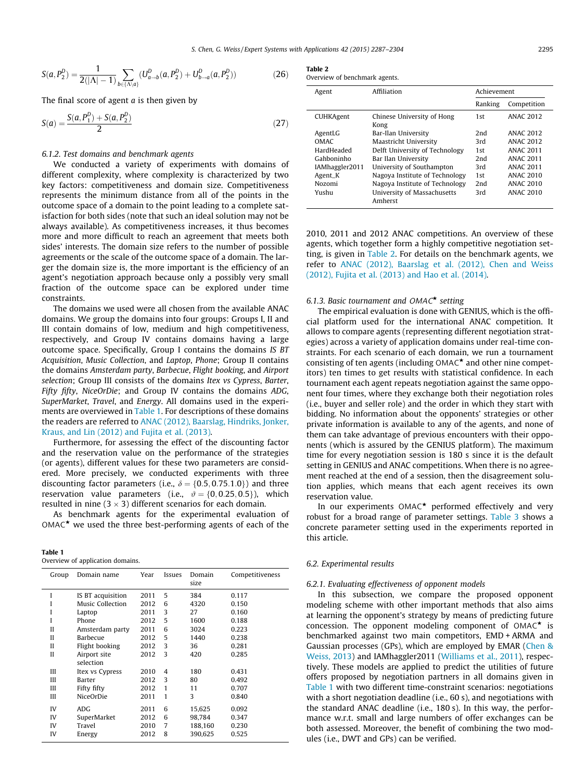<span id="page-8-0"></span>
$$
S(a, P_2^D) = \frac{1}{2(|\Lambda| - 1)} \sum_{b \in \{\Lambda \setminus a\}} (U_{a \to b}^D(a, P_2^D) + U_{b \to a}^D(a, P_2^D))
$$
(26)

The final score of agent  $a$  is then given by

$$
S(a) = \frac{S(a, P_1^D) + S(a, P_2^D)}{2} \tag{27}
$$

## 6.1.2. Test domains and benchmark agents

We conducted a variety of experiments with domains of different complexity, where complexity is characterized by two key factors: competitiveness and domain size. Competitiveness represents the minimum distance from all of the points in the outcome space of a domain to the point leading to a complete satisfaction for both sides (note that such an ideal solution may not be always available). As competitiveness increases, it thus becomes more and more difficult to reach an agreement that meets both sides' interests. The domain size refers to the number of possible agreements or the scale of the outcome space of a domain. The larger the domain size is, the more important is the efficiency of an agent's negotiation approach because only a possibly very small fraction of the outcome space can be explored under time constraints.

The domains we used were all chosen from the available ANAC domains. We group the domains into four groups: Groups I, II and III contain domains of low, medium and high competitiveness, respectively, and Group IV contains domains having a large outcome space. Specifically, Group I contains the domains IS BT Acquisition, Music Collection, and Laptop, Phone; Group II contains the domains Amsterdam party, Barbecue, Flight booking, and Airport selection; Group III consists of the domains Itex vs Cypress, Barter, Fifty fifty, NiceOrDie; and Group IV contains the domains ADG, SuperMarket, Travel, and Energy. All domains used in the experiments are overviewed in Table 1. For descriptions of these domains the readers are referred to [ANAC \(2012\), Baarslag, Hindriks, Jonker,](#page-16-0) [Kraus, and Lin \(2012\) and Fujita et al. \(2013\)](#page-16-0).

Furthermore, for assessing the effect of the discounting factor and the reservation value on the performance of the strategies (or agents), different values for these two parameters are considered. More precisely, we conducted experiments with three discounting factor parameters (i.e.,  $\delta = \{0.5, 0.75.1.0\}$ ) and three reservation value parameters (i.e.,  $\vartheta = \{0, 0.25, 0.5\}$ ), which resulted in nine  $(3 \times 3)$  different scenarios for each domain.

As benchmark agents for the experimental evaluation of  $OMAC^{\star}$  we used the three best-performing agents of each of the

| Table 1 |                                  |  |
|---------|----------------------------------|--|
|         | Overview of application domains. |  |

| Group | Domain name       | Year | Issues | Domain<br>size | Competitiveness |
|-------|-------------------|------|--------|----------------|-----------------|
| I     | IS BT acquisition | 2011 | 5      | 384            | 0.117           |
| I     | Music Collection  | 2012 | 6      | 4320           | 0.150           |
| I     | Laptop            | 2011 | 3      | 27             | 0.160           |
| I     | Phone             | 2012 | 5      | 1600           | 0.188           |
| Н     | Amsterdam party   | 2011 | 6      | 3024           | 0.223           |
| П     | Barbecue          | 2012 | 5      | 1440           | 0.238           |
| П     | Flight booking    | 2012 | 3      | 36             | 0.281           |
| П     | Airport site      | 2012 | 3      | 420            | 0.285           |
|       | selection         |      |        |                |                 |
| Ш     | Itex vs Cypress   | 2010 | 4      | 180            | 0.431           |
| Ш     | Barter            | 2012 | 3      | 80             | 0.492           |
| Ш     | Fifty fifty       | 2012 | 1      | 11             | 0.707           |
| Ш     | NiceOrDie         | 2011 | 1      | 3              | 0.840           |
| IV    | ADG               | 2011 | 6      | 15,625         | 0.092           |
| IV    | SuperMarket       | 2012 | 6      | 98.784         | 0.347           |
| IV    | Travel            | 2010 | 7      | 188.160        | 0.230           |
| IV    | Energy            | 2012 | 8      | 390.625        | 0.525           |

| Table<br>. .<br>$\sim$<br>u |  |
|-----------------------------|--|
|-----------------------------|--|

| Overview of benchmark agents. |
|-------------------------------|
|                               |

| Agent            | Affiliation                            | Achievement |                  |  |
|------------------|----------------------------------------|-------------|------------------|--|
|                  |                                        | Ranking     | Competition      |  |
| <b>CUHKAgent</b> | Chinese University of Hong<br>Kong     | 1st         | <b>ANAC 2012</b> |  |
| AgentLG          | Bar-Ilan University                    | 2nd         | <b>ANAC 2012</b> |  |
| <b>OMAC</b>      | <b>Maastricht University</b>           | 3rd         | <b>ANAC 2012</b> |  |
| HardHeaded       | Delft University of Technology         | 1st         | ANAC 2011        |  |
| Gahboninho       | Bar Ilan University                    | 2nd         | <b>ANAC 2011</b> |  |
| IAMhaggler2011   | University of Southampton              | 3rd         | ANAC 2011        |  |
| Agent_K          | Nagoya Institute of Technology         | 1st         | <b>ANAC 2010</b> |  |
| Nozomi           | Nagoya Institute of Technology         | 2nd         | <b>ANAC 2010</b> |  |
| Yushu            | University of Massachusetts<br>Amherst | 3rd         | <b>ANAC 2010</b> |  |

2010, 2011 and 2012 ANAC competitions. An overview of these agents, which together form a highly competitive negotiation setting, is given in Table 2. For details on the benchmark agents, we refer to [ANAC \(2012\), Baarslag et al. \(2012\), Chen and Weiss](#page-16-0) [\(2012\), Fujita et al. \(2013\) and Hao et al. \(2014\).](#page-16-0)

#### 6.1.3. Basic tournament and OMAC<sup>\*</sup> setting

The empirical evaluation is done with GENIUS, which is the official platform used for the international ANAC competition. It allows to compare agents (representing different negotiation strategies) across a variety of application domains under real-time constraints. For each scenario of each domain, we run a tournament consisting of ten agents (including  $OMAC^*$  and other nine competitors) ten times to get results with statistical confidence. In each tournament each agent repeats negotiation against the same opponent four times, where they exchange both their negotiation roles (i.e., buyer and seller role) and the order in which they start with bidding. No information about the opponents' strategies or other private information is available to any of the agents, and none of them can take advantage of previous encounters with their opponents (which is assured by the GENIUS platform). The maximum time for every negotiation session is 180 s since it is the default setting in GENIUS and ANAC competitions. When there is no agreement reached at the end of a session, then the disagreement solution applies, which means that each agent receives its own reservation value.

In our experiments OMAC $*$  performed effectively and very robust for a broad range of parameter settings. [Table 3](#page-9-0) shows a concrete parameter setting used in the experiments reported in this article.

#### 6.2. Experimental results

#### 6.2.1. Evaluating effectiveness of opponent models

In this subsection, we compare the proposed opponent modeling scheme with other important methods that also aims at learning the opponent's strategy by means of predicting future concession. The opponent modeling component of  $OMAC^*$  is benchmarked against two main competitors, EMD + ARMA and Gaussian processes (GPs), which are employed by EMAR ([Chen &](#page-16-0) [Weiss, 2013\)](#page-16-0) and IAMhaggler2011 [\(Williams et al., 2011](#page-17-0)), respectively. These models are applied to predict the utilities of future offers proposed by negotiation partners in all domains given in Table 1 with two different time-constraint scenarios: negotiations with a short negotiation deadline (i.e., 60 s), and negotiations with the standard ANAC deadline (i.e., 180 s). In this way, the performance w.r.t. small and large numbers of offer exchanges can be both assessed. Moreover, the benefit of combining the two modules (i.e., DWT and GPs) can be verified.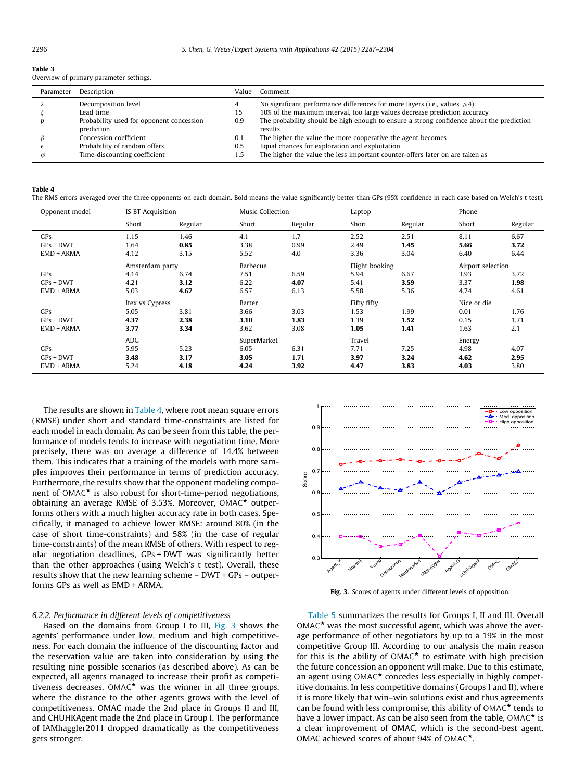<span id="page-9-0"></span>

Overview of primary parameter settings.

| Parameter | Description                                            | Value | Comment                                                                                             |
|-----------|--------------------------------------------------------|-------|-----------------------------------------------------------------------------------------------------|
|           | Decomposition level                                    |       | No significant performance differences for more layers (i.e., values $\geq 4$ )                     |
|           | Lead time                                              | 15    | 10% of the maximum interval, too large values decrease prediction accuracy                          |
|           | Probability used for opponent concession<br>prediction | 0.9   | The probability should be high enough to ensure a strong confidence about the prediction<br>results |
|           | Concession coefficient                                 | 0.1   | The higher the value the more cooperative the agent becomes                                         |
|           | Probability of random offers                           | 0.5   | Equal chances for exploration and exploitation                                                      |
| $\omega$  | Time-discounting coefficient                           | 1.5   | The higher the value the less important counter-offers later on are taken as                        |

#### Table 4

The RMS errors averaged over the three opponents on each domain. Bold means the value significantly better than GPs (95% confidence in each case based on Welch's t test).

| Opponent model | IS BT Acquisition |         | Music Collection |         | Laptop         |         | Phone             |         |
|----------------|-------------------|---------|------------------|---------|----------------|---------|-------------------|---------|
|                | Short             | Regular | Short            | Regular | Short          | Regular | Short             | Regular |
| GPS            | 1.15              | 1.46    | 4.1              | 1.7     | 2.52           | 2.51    | 8.11              | 6.67    |
| $GPS + DWT$    | 1.64              | 0.85    | 3.38             | 0.99    | 2.49           | 1.45    | 5.66              | 3.72    |
| EMD + ARMA     | 4.12              | 3.15    | 5.52             | 4.0     | 3.36           | 3.04    | 6.40              | 6.44    |
|                | Amsterdam party   |         | Barbecue         |         | Flight booking |         | Airport selection |         |
| GPS            | 4.14              | 6.74    | 7.51             | 6.59    | 5.94           | 6.67    | 3.93              | 3.72    |
| $GPS + DWT$    | 4.21              | 3.12    | 6.22             | 4.07    | 5.41           | 3.59    | 3.37              | 1.98    |
| EMD + ARMA     | 5.03              | 4.67    | 6.57             | 6.13    | 5.58           | 5.36    | 4.74              | 4.61    |
|                | Itex vs Cypress   |         | Barter           |         | Fifty fifty    |         | Nice or die       |         |
| GPS            | 5.05              | 3.81    | 3.66             | 3.03    | 1.53           | 1.99    | 0.01              | 1.76    |
| $GPS + DWT$    | 4.37              | 2.38    | 3.10             | 1.83    | 1.39           | 1.52    | 0.15              | 1.71    |
| EMD + ARMA     | 3.77              | 3.34    | 3.62             | 3.08    | 1.05           | 1.41    | 1.63              | 2.1     |
|                | <b>ADG</b>        |         | SuperMarket      |         | Travel         |         | Energy            |         |
| GPS            | 5.95              | 5.23    | 6.05             | 6.31    | 7.71           | 7.25    | 4.98              | 4.07    |
| $GPS + DWT$    | 3.48              | 3.17    | 3.05             | 1.71    | 3.97           | 3.24    | 4.62              | 2.95    |
| EMD + ARMA     | 5.24              | 4.18    | 4.24             | 3.92    | 4.47           | 3.83    | 4.03              | 3.80    |

The results are shown in Table 4, where root mean square errors (RMSE) under short and standard time-constraints are listed for each model in each domain. As can be seen from this table, the performance of models tends to increase with negotiation time. More precisely, there was on average a difference of 14.4% between them. This indicates that a training of the models with more samples improves their performance in terms of prediction accuracy. Furthermore, the results show that the opponent modeling component of  $OMAC^*$  is also robust for short-time-period negotiations, obtaining an average RMSE of 3.53%. Moreover,  $OMAC^*$  outperforms others with a much higher accuracy rate in both cases. Specifically, it managed to achieve lower RMSE: around 80% (in the case of short time-constraints) and 58% (in the case of regular time-constraints) of the mean RMSE of others. With respect to regular negotiation deadlines, GPs + DWT was significantly better than the other approaches (using Welch's t test). Overall, these results show that the new learning scheme – DWT + GPs – outperforms GPs as well as EMD + ARMA.

#### 6.2.2. Performance in different levels of competitiveness

Based on the domains from Group I to III, Fig. 3 shows the agents' performance under low, medium and high competitiveness. For each domain the influence of the discounting factor and the reservation value are taken into consideration by using the resulting nine possible scenarios (as described above). As can be expected, all agents managed to increase their profit as competitiveness decreases. OMAC<sup>\*</sup> was the winner in all three groups, where the distance to the other agents grows with the level of competitiveness. OMAC made the 2nd place in Groups II and III, and CHUHKAgent made the 2nd place in Group I. The performance of IAMhaggler2011 dropped dramatically as the competitiveness gets stronger.



Fig. 3. Scores of agents under different levels of opposition.

[Table 5](#page-10-0) summarizes the results for Groups I, II and III. Overall  $OMAC^{\star}$  was the most successful agent, which was above the average performance of other negotiators by up to a 19% in the most competitive Group III. According to our analysis the main reason for this is the ability of OMAC<sup>\*</sup> to estimate with high precision the future concession an opponent will make. Due to this estimate, an agent using  $OMAC^*$  concedes less especially in highly competitive domains. In less competitive domains (Groups I and II), where it is more likely that win–win solutions exist and thus agreements can be found with less compromise, this ability of  $OMAC^{\star}$  tends to have a lower impact. As can be also seen from the table,  $OMAC^*$  is a clear improvement of OMAC, which is the second-best agent. OMAC achieved scores of about 94% of OMAC $\star$ .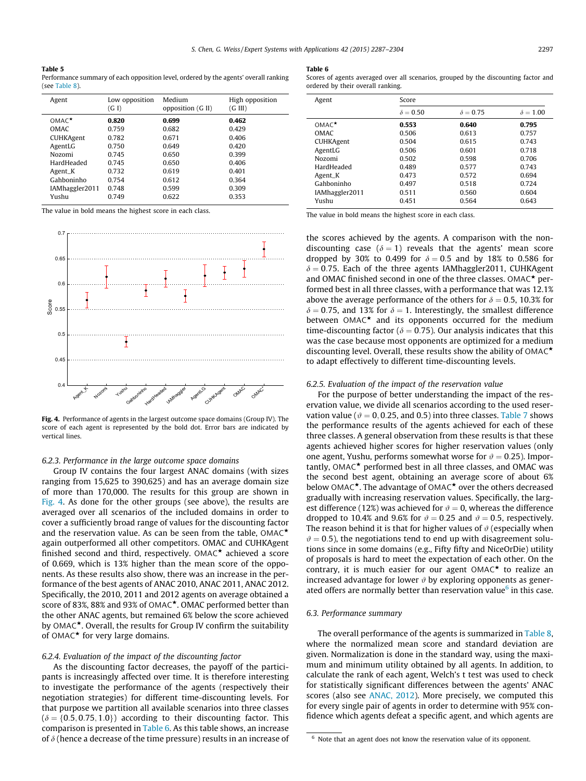#### <span id="page-10-0"></span>Table 5

Performance summary of each opposition level, ordered by the agents' overall ranking (see [Table 8](#page-11-0)).

| Agent            | Low opposition<br>(G I) | Medium<br>opposition (G II) | High opposition<br>(G <sub>III</sub> ) |
|------------------|-------------------------|-----------------------------|----------------------------------------|
| $OMAC*$          | 0.820                   | 0.699                       | 0.462                                  |
| <b>OMAC</b>      | 0.759                   | 0.682                       | 0.429                                  |
| <b>CUHKAgent</b> | 0.782                   | 0.671                       | 0.406                                  |
| AgentLG          | 0.750                   | 0.649                       | 0.420                                  |
| Nozomi           | 0.745                   | 0.650                       | 0.399                                  |
| HardHeaded       | 0.745                   | 0.650                       | 0.406                                  |
| Agent_K          | 0.732                   | 0.619                       | 0.401                                  |
| Gahboninho       | 0.754                   | 0.612                       | 0.364                                  |
| IAMhaggler2011   | 0.748                   | 0.599                       | 0.309                                  |
| Yushu            | 0.749                   | 0.622                       | 0.353                                  |

The value in bold means the highest score in each class.



Fig. 4. Performance of agents in the largest outcome space domains (Group IV). The score of each agent is represented by the bold dot. Error bars are indicated by vertical lines.

#### 6.2.3. Performance in the large outcome space domains

Group IV contains the four largest ANAC domains (with sizes ranging from 15,625 to 390,625) and has an average domain size of more than 170,000. The results for this group are shown in Fig. 4. As done for the other groups (see above), the results are averaged over all scenarios of the included domains in order to cover a sufficiently broad range of values for the discounting factor and the reservation value. As can be seen from the table,  $OMAC^*$ again outperformed all other competitors. OMAC and CUHKAgent finished second and third, respectively. OMAC $*$  achieved a score of 0.669, which is 13% higher than the mean score of the opponents. As these results also show, there was an increase in the performance of the best agents of ANAC 2010, ANAC 2011, ANAC 2012. Specifically, the 2010, 2011 and 2012 agents on average obtained a score of 83%, 88% and 93% of OMAC<sup>\*</sup>. OMAC performed better than the other ANAC agents, but remained 6% below the score achieved by OMAC $\star$ . Overall, the results for Group IV confirm the suitability of OMAC $*$  for very large domains.

#### 6.2.4. Evaluation of the impact of the discounting factor

As the discounting factor decreases, the payoff of the participants is increasingly affected over time. It is therefore interesting to investigate the performance of the agents (respectively their negotiation strategies) for different time-discounting levels. For that purpose we partition all available scenarios into three classes  $(\delta = \{0.5, 0.75, 1.0\})$  according to their discounting factor. This comparison is presented in Table 6. As this table shows, an increase of  $\delta$  (hence a decrease of the time pressure) results in an increase of

#### Table 6

Scores of agents averaged over all scenarios, grouped by the discounting factor and ordered by their overall ranking.

| Agent            | Score           |                 |                 |
|------------------|-----------------|-----------------|-----------------|
|                  | $\delta = 0.50$ | $\delta = 0.75$ | $\delta = 1.00$ |
| $OMAC*$          | 0.553           | 0.640           | 0.795           |
| <b>OMAC</b>      | 0.506           | 0.613           | 0.757           |
| <b>CUHKAgent</b> | 0.504           | 0.615           | 0.743           |
| AgentLG          | 0.506           | 0.601           | 0.718           |
| Nozomi           | 0.502           | 0.598           | 0.706           |
| HardHeaded       | 0.489           | 0.577           | 0.743           |
| Agent_K          | 0.473           | 0.572           | 0.694           |
| Gahboninho       | 0.497           | 0.518           | 0.724           |
| IAMhaggler2011   | 0.511           | 0.560           | 0.604           |
| Yushu            | 0.451           | 0.564           | 0.643           |

The value in bold means the highest score in each class.

the scores achieved by the agents. A comparison with the nondiscounting case ( $\delta = 1$ ) reveals that the agents' mean score dropped by 30% to 0.499 for  $\delta = 0.5$  and by 18% to 0.586 for  $\delta = 0.75$ . Each of the three agents IAMhaggler2011, CUHKAgent and OMAC finished second in one of the three classes. OMAC $\star$  performed best in all three classes, with a performance that was 12.1% above the average performance of the others for  $\delta = 0.5$ , 10.3% for  $\delta = 0.75$ , and 13% for  $\delta = 1$ . Interestingly, the smallest difference between  $OMAC^*$  and its opponents occurred for the medium time-discounting factor ( $\delta = 0.75$ ). Our analysis indicates that this was the case because most opponents are optimized for a medium discounting level. Overall, these results show the ability of  $OMAC^*$ to adapt effectively to different time-discounting levels.

#### 6.2.5. Evaluation of the impact of the reservation value

For the purpose of better understanding the impact of the reservation value, we divide all scenarios according to the used reservation value ( $\vartheta$  = 0, 0.25, and 0.5) into three classes. [Table 7](#page-11-0) shows the performance results of the agents achieved for each of these three classes. A general observation from these results is that these agents achieved higher scores for higher reservation values (only one agent, Yushu, performs somewhat worse for  $\vartheta = 0.25$ ). Impor $t$ antly, OMAC $\star$  performed best in all three classes, and OMAC was the second best agent, obtaining an average score of about 6% below OMAC\*. The advantage of OMAC\* over the others decreased gradually with increasing reservation values. Specifically, the largest difference (12%) was achieved for  $\vartheta = 0$ , whereas the difference dropped to 10.4% and 9.6% for  $\vartheta = 0.25$  and  $\vartheta = 0.5$ , respectively. The reason behind it is that for higher values of  $\vartheta$  (especially when  $\vartheta$  = 0.5), the negotiations tend to end up with disagreement solutions since in some domains (e.g., Fifty fifty and NiceOrDie) utility of proposals is hard to meet the expectation of each other. On the contrary, it is much easier for our agent  $OMAC<sup>*</sup>$  to realize an increased advantage for lower  $\vartheta$  by exploring opponents as generated offers are normally better than reservation value<sup>6</sup> in this case.

#### 6.3. Performance summary

The overall performance of the agents is summarized in [Table 8,](#page-11-0) where the normalized mean score and standard deviation are given. Normalization is done in the standard way, using the maximum and minimum utility obtained by all agents. In addition, to calculate the rank of each agent, Welch's t test was used to check for statistically significant differences between the agents' ANAC scores (also see [ANAC, 2012\)](#page-16-0). More precisely, we computed this for every single pair of agents in order to determine with 95% confidence which agents defeat a specific agent, and which agents are

<sup>6</sup> Note that an agent does not know the reservation value of its opponent.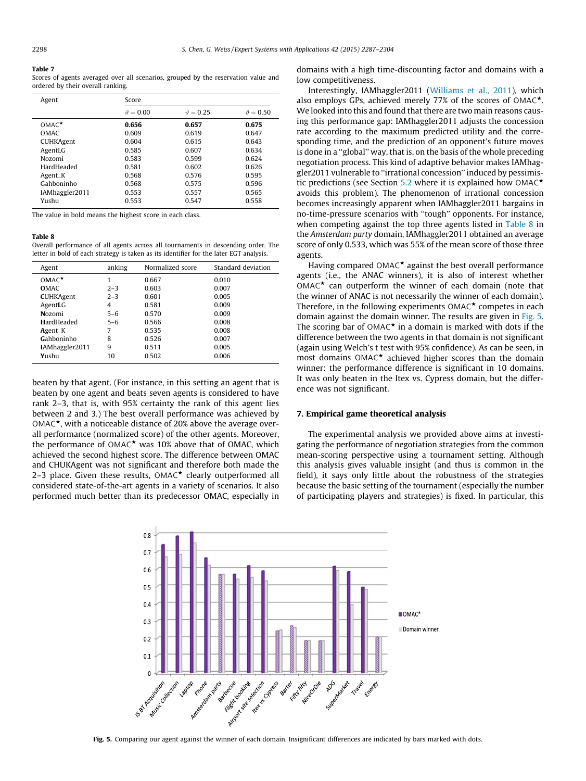#### <span id="page-11-0"></span>Table 7

Scores of agents averaged over all scenarios, grouped by the reservation value and ordered by their overall ranking.

| Agent            | Score              |                 |                    |  |  |
|------------------|--------------------|-----------------|--------------------|--|--|
|                  | $\vartheta = 0.00$ | $\theta = 0.25$ | $\vartheta = 0.50$ |  |  |
| $OMAC*$          | 0.656              | 0.657           | 0.675              |  |  |
| <b>OMAC</b>      | 0.609              | 0.619           | 0.647              |  |  |
| <b>CUHKAgent</b> | 0.604              | 0.615           | 0.643              |  |  |
| AgentLG          | 0.585              | 0.607           | 0.634              |  |  |
| Nozomi           | 0.583              | 0.599           | 0.624              |  |  |
| HardHeaded       | 0.581              | 0.602           | 0.626              |  |  |
| Agent_K          | 0.568              | 0.576           | 0.595              |  |  |
| Gahboninho       | 0.568              | 0.575           | 0.596              |  |  |
| IAMhaggler2011   | 0.553              | 0.557           | 0.565              |  |  |
| Yushu            | 0.553              | 0.547           | 0.558              |  |  |

The value in bold means the highest score in each class.

#### Table 8

Overall performance of all agents across all tournaments in descending order. The letter in bold of each strategy is taken as its identifier for the later EGT analysis.

| Agent            | anking  | Normalized score | Standard deviation |
|------------------|---------|------------------|--------------------|
| $OMAC*$          |         | 0.667            | 0.010              |
| <b>OMAC</b>      | $2 - 3$ | 0.603            | 0.007              |
| <b>CUHKAgent</b> | $2 - 3$ | 0.601            | 0.005              |
| AgentLG          | 4       | 0.581            | 0.009              |
| Nozomi           | $5 - 6$ | 0.570            | 0.009              |
| HardHeaded       | $5 - 6$ | 0.566            | 0.008              |
| Agent_K          | 7       | 0.535            | 0.008              |
| Gahboninho       | 8       | 0.526            | 0.007              |
| IAMhaggler2011   | 9       | 0.511            | 0.005              |
| Yushu            | 10      | 0.502            | 0.006              |
|                  |         |                  |                    |

beaten by that agent. (For instance, in this setting an agent that is beaten by one agent and beats seven agents is considered to have rank 2–3, that is, with 95% certainty the rank of this agent lies between 2 and 3.) The best overall performance was achieved by  $OMAC^{\star}$ , with a noticeable distance of 20% above the average overall performance (normalized score) of the other agents. Moreover, the performance of OMAC $*$  was 10% above that of OMAC, which achieved the second highest score. The difference between OMAC and CHUKAgent was not significant and therefore both made the 2-3 place. Given these results,  $OMAC^*$  clearly outperformed all considered state-of-the-art agents in a variety of scenarios. It also performed much better than its predecessor OMAC, especially in domains with a high time-discounting factor and domains with a low competitiveness.

Interestingly, IAMhaggler2011 [\(Williams et al., 2011](#page-17-0)), which also employs GPs, achieved merely 77% of the scores of  $OMAC^{\star}$ . We looked into this and found that there are two main reasons causing this performance gap: IAMhaggler2011 adjusts the concession rate according to the maximum predicted utility and the corresponding time, and the prediction of an opponent's future moves is done in a ''global'' way, that is, on the basis of the whole preceding negotiation process. This kind of adaptive behavior makes IAMhaggler2011 vulnerable to ''irrational concession'' induced by pessimis-tic predictions (see Section [5.2](#page-5-0) where it is explained how  $OMAC^*$ avoids this problem). The phenomenon of irrational concession becomes increasingly apparent when IAMhaggler2011 bargains in no-time-pressure scenarios with ''tough'' opponents. For instance, when competing against the top three agents listed in Table 8 in the Amsterdam party domain, IAMhaggler2011 obtained an average score of only 0.533, which was 55% of the mean score of those three agents.

Having compared  $OMAC^*$  against the best overall performance agents (i.e., the ANAC winners), it is also of interest whether  $OMAC^{\star}$  can outperform the winner of each domain (note that the winner of ANAC is not necessarily the winner of each domain). Therefore, in the following experiments  $OMAC^*$  competes in each domain against the domain winner. The results are given in Fig. 5. The scoring bar of OMAC $\star$  in a domain is marked with dots if the difference between the two agents in that domain is not significant (again using Welch's t test with 95% confidence). As can be seen, in most domains  $OMAC^*$  achieved higher scores than the domain winner: the performance difference is significant in 10 domains. It was only beaten in the Itex vs. Cypress domain, but the difference was not significant.

## 7. Empirical game theoretical analysis

The experimental analysis we provided above aims at investigating the performance of negotiation strategies from the common mean-scoring perspective using a tournament setting. Although this analysis gives valuable insight (and thus is common in the field), it says only little about the robustness of the strategies because the basic setting of the tournament (especially the number of participating players and strategies) is fixed. In particular, this



Fig. 5. Comparing our agent against the winner of each domain. Insignificant differences are indicated by bars marked with dots.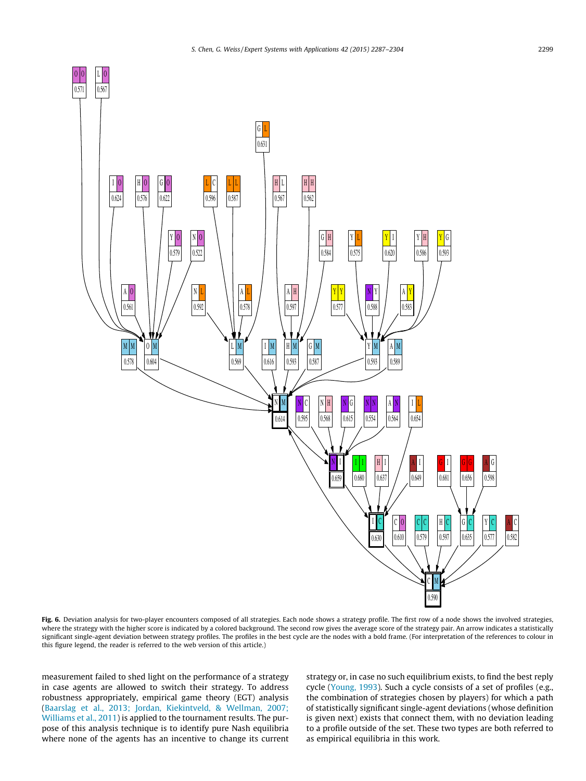<span id="page-12-0"></span>

Fig. 6. Deviation analysis for two-player encounters composed of all strategies. Each node shows a strategy profile. The first row of a node shows the involved strategies, where the strategy with the higher score is indicated by a colored background. The second row gives the average score of the strategy pair. An arrow indicates a statistically significant single-agent deviation between strategy profiles. The profiles in the best cycle are the nodes with a bold frame. (For interpretation of the references to colour in this figure legend, the reader is referred to the web version of this article.)

measurement failed to shed light on the performance of a strategy in case agents are allowed to switch their strategy. To address robustness appropriately, empirical game theory (EGT) analysis ([Baarslag et al., 2013; Jordan, Kiekintveld, & Wellman, 2007;](#page-16-0) [Williams et al., 2011\)](#page-16-0) is applied to the tournament results. The purpose of this analysis technique is to identify pure Nash equilibria where none of the agents has an incentive to change its current strategy or, in case no such equilibrium exists, to find the best reply cycle [\(Young, 1993\)](#page-17-0). Such a cycle consists of a set of profiles (e.g., the combination of strategies chosen by players) for which a path of statistically significant single-agent deviations (whose definition is given next) exists that connect them, with no deviation leading to a profile outside of the set. These two types are both referred to as empirical equilibria in this work.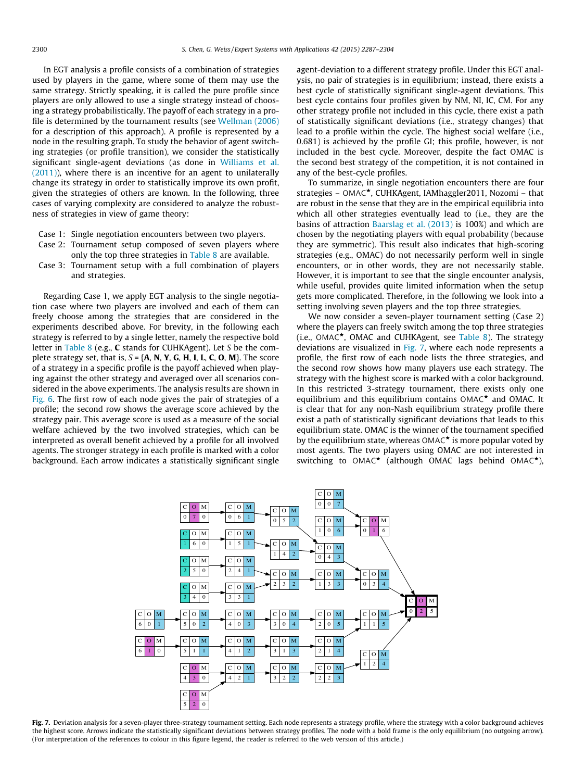In EGT analysis a profile consists of a combination of strategies used by players in the game, where some of them may use the same strategy. Strictly speaking, it is called the pure profile since players are only allowed to use a single strategy instead of choosing a strategy probabilistically. The payoff of each strategy in a profile is determined by the tournament results (see [Wellman \(2006\)](#page-17-0) for a description of this approach). A profile is represented by a node in the resulting graph. To study the behavior of agent switching strategies (or profile transition), we consider the statistically significant single-agent deviations (as done in [Williams et al.](#page-17-0) [\(2011\)\)](#page-17-0), where there is an incentive for an agent to unilaterally change its strategy in order to statistically improve its own profit, given the strategies of others are known. In the following, three cases of varying complexity are considered to analyze the robustness of strategies in view of game theory:

- Case 1: Single negotiation encounters between two players.
- Case 2: Tournament setup composed of seven players where only the top three strategies in [Table 8](#page-11-0) are available.
- Case 3: Tournament setup with a full combination of players and strategies.

Regarding Case 1, we apply EGT analysis to the single negotiation case where two players are involved and each of them can freely choose among the strategies that are considered in the experiments described above. For brevity, in the following each strategy is referred to by a single letter, namely the respective bold letter in [Table 8](#page-11-0) (e.g., C stands for CUHKAgent). Let S be the complete strategy set, that is,  $S = \{A, N, Y, G, H, I, L, C, O, M\}$ . The score of a strategy in a specific profile is the payoff achieved when playing against the other strategy and averaged over all scenarios considered in the above experiments. The analysis results are shown in [Fig. 6.](#page-12-0) The first row of each node gives the pair of strategies of a profile; the second row shows the average score achieved by the strategy pair. This average score is used as a measure of the social welfare achieved by the two involved strategies, which can be interpreted as overall benefit achieved by a profile for all involved agents. The stronger strategy in each profile is marked with a color background. Each arrow indicates a statistically significant single

agent-deviation to a different strategy profile. Under this EGT analysis, no pair of strategies is in equilibrium; instead, there exists a best cycle of statistically significant single-agent deviations. This best cycle contains four profiles given by NM, NI, IC, CM. For any other strategy profile not included in this cycle, there exist a path of statistically significant deviations (i.e., strategy changes) that lead to a profile within the cycle. The highest social welfare (i.e., 0.681) is achieved by the profile GI; this profile, however, is not included in the best cycle. Moreover, despite the fact OMAC is the second best strategy of the competition, it is not contained in any of the best-cycle profiles.

To summarize, in single negotiation encounters there are four strategies - OMAC<sup>\*</sup>, CUHKAgent, IAMhaggler2011, Nozomi - that are robust in the sense that they are in the empirical equilibria into which all other strategies eventually lead to (i.e., they are the basins of attraction [Baarslag et al. \(2013\)](#page-16-0) is 100%) and which are chosen by the negotiating players with equal probability (because they are symmetric). This result also indicates that high-scoring strategies (e.g., OMAC) do not necessarily perform well in single encounters, or in other words, they are not necessarily stable. However, it is important to see that the single encounter analysis, while useful, provides quite limited information when the setup gets more complicated. Therefore, in the following we look into a setting involving seven players and the top three strategies.

We now consider a seven-player tournament setting (Case 2) where the players can freely switch among the top three strategies (i.e., OMAC $\star$ , OMAC and CUHKAgent, see [Table 8\)](#page-11-0). The strategy deviations are visualized in Fig. 7, where each node represents a profile, the first row of each node lists the three strategies, and the second row shows how many players use each strategy. The strategy with the highest score is marked with a color background. In this restricted 3-strategy tournament, there exists only one equilibrium and this equilibrium contains  $OMAC^*$  and OMAC. It is clear that for any non-Nash equilibrium strategy profile there exist a path of statistically significant deviations that leads to this equilibrium state. OMAC is the winner of the tournament specified by the equilibrium state, whereas  $OMAC^*$  is more popular voted by most agents. The two players using OMAC are not interested in switching to OMAC<sup>\*</sup> (although OMAC lags behind OMAC<sup>\*</sup>),



Fig. 7. Deviation analysis for a seven-player three-strategy tournament setting. Each node represents a strategy profile, where the strategy with a color background achieves the highest score. Arrows indicate the statistically significant deviations between strategy profiles. The node with a bold frame is the only equilibrium (no outgoing arrow). (For interpretation of the references to colour in this figure legend, the reader is referred to the web version of this article.)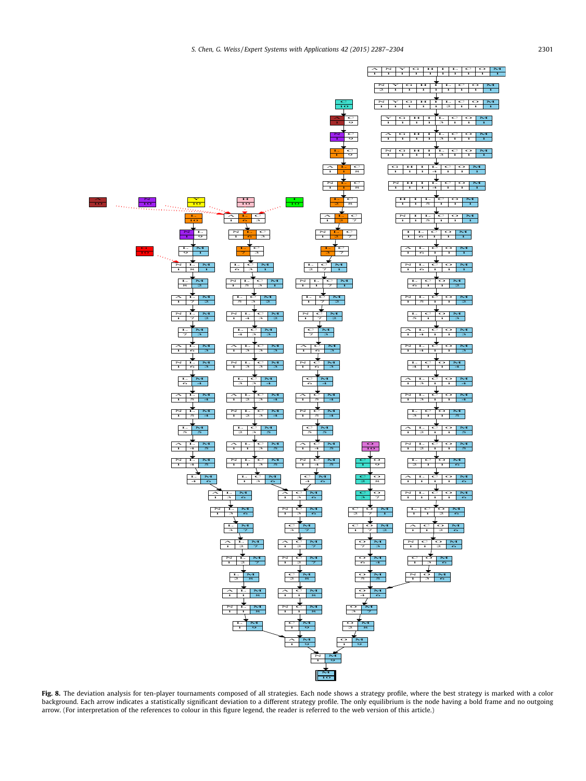<span id="page-14-0"></span>

Fig. 8. The deviation analysis for ten-player tournaments composed of all strategies. Each node shows a strategy profile, where the best strategy is marked with a color background. Each arrow indicates a statistically significant deviation to a different strategy profile. The only equilibrium is the node having a bold frame and no outgoing arrow. (For interpretation of the references to colour in this figure legend, the reader is referred to the web version of this article.)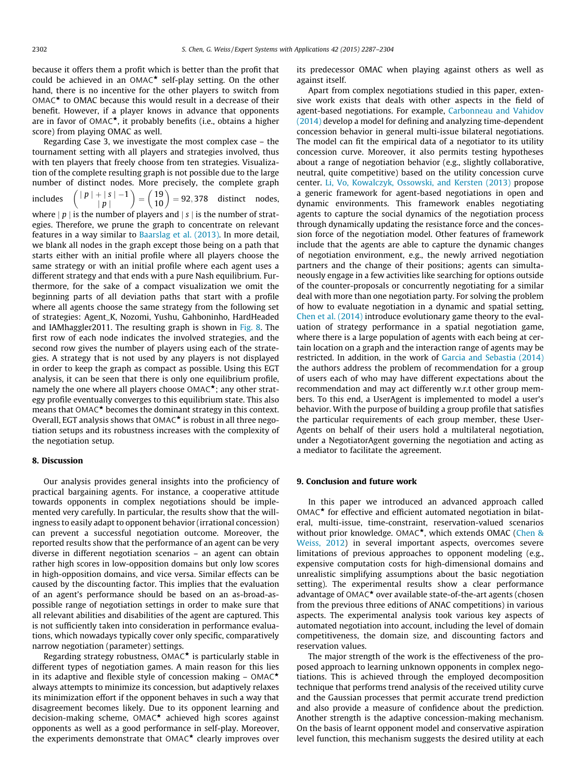<span id="page-15-0"></span>because it offers them a profit which is better than the profit that could be achieved in an  $OMAC^*$  self-play setting. On the other hand, there is no incentive for the other players to switch from  $OMAC*$  to OMAC because this would result in a decrease of their benefit. However, if a player knows in advance that opponents are in favor of  $OMAC^{\star}$ , it probably benefits (i.e., obtains a higher score) from playing OMAC as well.

Regarding Case 3, we investigate the most complex case – the tournament setting with all players and strategies involved, thus with ten players that freely choose from ten strategies. Visualization of the complete resulting graph is not possible due to the large number of distinct nodes. More precisely, the complete graph includes  $\begin{array}{c} |p|+|s|-1 \\ |p| \end{array}$  $\binom{|p|+|s|-1}{|p|} = \binom{19}{10} = 92,378$  distinct nodes,

where  $|p|$  is the number of players and  $|s|$  is the number of strategies. Therefore, we prune the graph to concentrate on relevant features in a way similar to [Baarslag et al. \(2013\).](#page-16-0) In more detail, we blank all nodes in the graph except those being on a path that starts either with an initial profile where all players choose the same strategy or with an initial profile where each agent uses a different strategy and that ends with a pure Nash equilibrium. Furthermore, for the sake of a compact visualization we omit the beginning parts of all deviation paths that start with a profile where all agents choose the same strategy from the following set of strategies: Agent\_K, Nozomi, Yushu, Gahboninho, HardHeaded and IAMhaggler2011. The resulting graph is shown in [Fig. 8.](#page-14-0) The first row of each node indicates the involved strategies, and the second row gives the number of players using each of the strategies. A strategy that is not used by any players is not displayed in order to keep the graph as compact as possible. Using this EGT analysis, it can be seen that there is only one equilibrium profile, namely the one where all players choose  $OMAC^{\star}$ ; any other strategy profile eventually converges to this equilibrium state. This also means that  $OMAC^*$  becomes the dominant strategy in this context. Overall, EGT analysis shows that  $OMAC^*$  is robust in all three negotiation setups and its robustness increases with the complexity of the negotiation setup.

#### 8. Discussion

Our analysis provides general insights into the proficiency of practical bargaining agents. For instance, a cooperative attitude towards opponents in complex negotiations should be implemented very carefully. In particular, the results show that the willingness to easily adapt to opponent behavior (irrational concession) can prevent a successful negotiation outcome. Moreover, the reported results show that the performance of an agent can be very diverse in different negotiation scenarios – an agent can obtain rather high scores in low-opposition domains but only low scores in high-opposition domains, and vice versa. Similar effects can be caused by the discounting factor. This implies that the evaluation of an agent's performance should be based on an as-broad-aspossible range of negotiation settings in order to make sure that all relevant abilities and disabilities of the agent are captured. This is not sufficiently taken into consideration in performance evaluations, which nowadays typically cover only specific, comparatively narrow negotiation (parameter) settings.

Regarding strategy robustness,  $OMAC^*$  is particularly stable in different types of negotiation games. A main reason for this lies in its adaptive and flexible style of concession making  $-$  OMAC<sup>\*</sup> always attempts to minimize its concession, but adaptively relaxes its minimization effort if the opponent behaves in such a way that disagreement becomes likely. Due to its opponent learning and decision-making scheme, OMAC\* achieved high scores against opponents as well as a good performance in self-play. Moreover, the experiments demonstrate that  $OMAC^*$  clearly improves over its predecessor OMAC when playing against others as well as against itself.

Apart from complex negotiations studied in this paper, extensive work exists that deals with other aspects in the field of agent-based negotiations. For example, [Carbonneau and Vahidov](#page-16-0) [\(2014\)](#page-16-0) develop a model for defining and analyzing time-dependent concession behavior in general multi-issue bilateral negotiations. The model can fit the empirical data of a negotiator to its utility concession curve. Moreover, it also permits testing hypotheses about a range of negotiation behavior (e.g., slightly collaborative, neutral, quite competitive) based on the utility concession curve center. [Li, Vo, Kowalczyk, Ossowski, and Kersten \(2013\)](#page-16-0) propose a generic framework for agent-based negotiations in open and dynamic environments. This framework enables negotiating agents to capture the social dynamics of the negotiation process through dynamically updating the resistance force and the concession force of the negotiation model. Other features of framework include that the agents are able to capture the dynamic changes of negotiation environment, e.g., the newly arrived negotiation partners and the change of their positions; agents can simultaneously engage in a few activities like searching for options outside of the counter-proposals or concurrently negotiating for a similar deal with more than one negotiation party. For solving the problem of how to evaluate negotiation in a dynamic and spatial setting, [Chen et al. \(2014\)](#page-16-0) introduce evolutionary game theory to the evaluation of strategy performance in a spatial negotiation game, where there is a large population of agents with each being at certain location on a graph and the interaction range of agents may be restricted. In addition, in the work of [Garcia and Sebastia \(2014\)](#page-16-0) the authors address the problem of recommendation for a group of users each of who may have different expectations about the recommendation and may act differently w.r.t other group members. To this end, a UserAgent is implemented to model a user's behavior. With the purpose of building a group profile that satisfies the particular requirements of each group member, these User-Agents on behalf of their users hold a multilateral negotiation, under a NegotiatorAgent governing the negotiation and acting as a mediator to facilitate the agreement.

#### 9. Conclusion and future work

In this paper we introduced an advanced approach called  $OMAC^{\star}$  for effective and efficient automated negotiation in bilateral, multi-issue, time-constraint, reservation-valued scenarios without prior knowledge. OMAC<sup>\*</sup>, which extends OMAC ([Chen &](#page-16-0) [Weiss, 2012\)](#page-16-0) in several important aspects, overcomes severe limitations of previous approaches to opponent modeling (e.g., expensive computation costs for high-dimensional domains and unrealistic simplifying assumptions about the basic negotiation setting). The experimental results show a clear performance advantage of OMAC $\star$  over available state-of-the-art agents (chosen from the previous three editions of ANAC competitions) in various aspects. The experimental analysis took various key aspects of automated negotiation into account, including the level of domain competitiveness, the domain size, and discounting factors and reservation values.

The major strength of the work is the effectiveness of the proposed approach to learning unknown opponents in complex negotiations. This is achieved through the employed decomposition technique that performs trend analysis of the received utility curve and the Gaussian processes that permit accurate trend prediction and also provide a measure of confidence about the prediction. Another strength is the adaptive concession-making mechanism. On the basis of learnt opponent model and conservative aspiration level function, this mechanism suggests the desired utility at each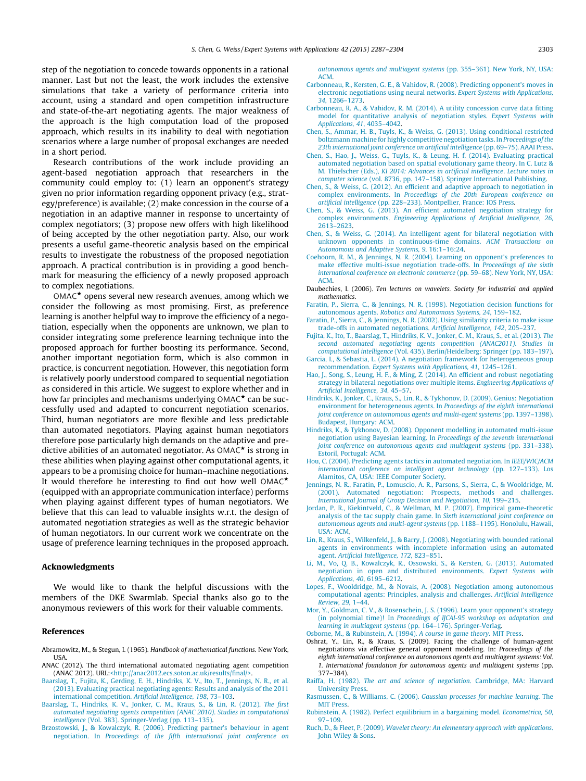<span id="page-16-0"></span>step of the negotiation to concede towards opponents in a rational manner. Last but not the least, the work includes the extensive simulations that take a variety of performance criteria into account, using a standard and open competition infrastructure and state-of-the-art negotiating agents. The major weakness of the approach is the high computation load of the proposed approach, which results in its inability to deal with negotiation scenarios where a large number of proposal exchanges are needed in a short period.

Research contributions of the work include providing an agent-based negotiation approach that researchers in the community could employ to: (1) learn an opponent's strategy given no prior information regarding opponent privacy (e.g., strategy/preference) is available; (2) make concession in the course of a negotiation in an adaptive manner in response to uncertainty of complex negotiators; (3) propose new offers with high likelihood of being accepted by the other negotiation party. Also, our work presents a useful game-theoretic analysis based on the empirical results to investigate the robustness of the proposed negotiation approach. A practical contribution is in providing a good benchmark for measuring the efficiency of a newly proposed approach to complex negotiations.

 $OMAC^{\star}$  opens several new research avenues, among which we consider the following as most promising. First, as preference learning is another helpful way to improve the efficiency of a negotiation, especially when the opponents are unknown, we plan to consider integrating some preference learning technique into the proposed approach for further boosting its performance. Second, another important negotiation form, which is also common in practice, is concurrent negotiation. However, this negotiation form is relatively poorly understood compared to sequential negotiation as considered in this article. We suggest to explore whether and in how far principles and mechanisms underlying  $OMAC^*$  can be successfully used and adapted to concurrent negotiation scenarios. Third, human negotiators are more flexible and less predictable than automated negotiators. Playing against human negotiators therefore pose particularly high demands on the adaptive and predictive abilities of an automated negotiator. As  $OMAC^*$  is strong in these abilities when playing against other computational agents, it appears to be a promising choice for human–machine negotiations. It would therefore be interesting to find out how well  $OMAC^*$ (equipped with an appropriate communication interface) performs when playing against different types of human negotiators. We believe that this can lead to valuable insights w.r.t. the design of automated negotiation strategies as well as the strategic behavior of human negotiators. In our current work we concentrate on the usage of preference learning techniques in the proposed approach.

#### Acknowledgments

We would like to thank the helpful discussions with the members of the DKE Swarmlab. Special thanks also go to the anonymous reviewers of this work for their valuable comments.

#### References

- Abramowitz, M., & Stegun, I. (1965). Handbook of mathematical functions. New York, **USA**
- ANAC (2012). The third international automated negotiating agent competition (ANAC 2012). URL[:<http://anac2012.ecs.soton.ac.uk/results/final/>](http://anac2012.ecs.soton.ac.uk/results/final/).
- [Baarslag, T., Fujita, K., Gerding, E. H., Hindriks, K. V., Ito, T., Jennings, N. R., et al.](http://refhub.elsevier.com/S0957-4174(14)00680-0/h0015) [\(2013\). Evaluating practical negotiating agents: Results and analysis of the 2011](http://refhub.elsevier.com/S0957-4174(14)00680-0/h0015) [international competition.](http://refhub.elsevier.com/S0957-4174(14)00680-0/h0015) Artificial Intelligence, 198, 73–103.
- [Baarslag, T., Hindriks, K. V., Jonker, C. M., Kraus, S., & Lin, R. \(2012\).](http://refhub.elsevier.com/S0957-4174(14)00680-0/h0020) The first [automated negotiating agents competition \(ANAC 2010\)](http://refhub.elsevier.com/S0957-4174(14)00680-0/h0020). Studies in computational intelligence [\(Vol. 383\). Springer-Verlag \(pp. 113–135\).](http://refhub.elsevier.com/S0957-4174(14)00680-0/h0020)
- [Brzostowski, J., & Kowalczyk, R. \(2006\). Predicting partner's behaviour in agent](http://refhub.elsevier.com/S0957-4174(14)00680-0/h0025) negotiation. In [Proceedings of the fifth international joint conference on](http://refhub.elsevier.com/S0957-4174(14)00680-0/h0025)

[autonomous agents and multiagent systems](http://refhub.elsevier.com/S0957-4174(14)00680-0/h0025) (pp. 355–361). New York, NY, USA: [ACM.](http://refhub.elsevier.com/S0957-4174(14)00680-0/h0025)

- [Carbonneau, R., Kersten, G. E., & Vahidov, R. \(2008\). Predicting opponent's moves in](http://refhub.elsevier.com/S0957-4174(14)00680-0/h0030) [electronic negotiations using neural networks.](http://refhub.elsevier.com/S0957-4174(14)00680-0/h0030) Expert Systems with Applications, 34[, 1266–1273.](http://refhub.elsevier.com/S0957-4174(14)00680-0/h0030)
- [Carbonneau, R. A., & Vahidov, R. M. \(2014\). A utility concession curve data fitting](http://refhub.elsevier.com/S0957-4174(14)00680-0/h0035) [model for quantitative analysis of negotiation styles.](http://refhub.elsevier.com/S0957-4174(14)00680-0/h0035) Expert Systems with [Applications, 41](http://refhub.elsevier.com/S0957-4174(14)00680-0/h0035), 4035–4042.
- [Chen, S., Ammar, H. B., Tuyls, K., & Weiss, G. \(2013\). Using conditional restricted](http://refhub.elsevier.com/S0957-4174(14)00680-0/h0040) [boltzmann machine for highly competitive negotiation tasks. In](http://refhub.elsevier.com/S0957-4174(14)00680-0/h0040) Proceedings of the [23th international joint conference on artificial intelligence](http://refhub.elsevier.com/S0957-4174(14)00680-0/h0040) (pp. 69–75). AAAI Press.
- [Chen, S., Hao, J., Weiss, G., Tuyls, K., & Leung, H. f. \(2014\). Evaluating practical](http://refhub.elsevier.com/S0957-4174(14)00680-0/h0045) [automated negotiation based on spatial evolutionary game theory. In C. Lutz &](http://refhub.elsevier.com/S0957-4174(14)00680-0/h0045) M. Thielscher (Eds.), [KI 2014: Advances in artificial intelligence](http://refhub.elsevier.com/S0957-4174(14)00680-0/h0045). Lecture notes in computer science [\(vol. 8736, pp. 147–158\). Springer International Publishing.](http://refhub.elsevier.com/S0957-4174(14)00680-0/h0045)
- [Chen, S., & Weiss, G. \(2012\). An efficient and adaptive approach to negotiation in](http://refhub.elsevier.com/S0957-4174(14)00680-0/h0050) complex environments. In [Proceedings of the 20th European conference on](http://refhub.elsevier.com/S0957-4174(14)00680-0/h0050) artificial intelligence [\(pp. 228–233\). Montpellier, France: IOS Press.](http://refhub.elsevier.com/S0957-4174(14)00680-0/h0050)
- [Chen, S., & Weiss, G. \(2013\). An efficient automated negotiation strategy for](http://refhub.elsevier.com/S0957-4174(14)00680-0/h0055) complex environments. [Engineering Applications of Artificial Intelligence, 26](http://refhub.elsevier.com/S0957-4174(14)00680-0/h0055), [2613–2623.](http://refhub.elsevier.com/S0957-4174(14)00680-0/h0055)
- [Chen, S., & Weiss, G. \(2014\). An intelligent agent for bilateral negotiation with](http://refhub.elsevier.com/S0957-4174(14)00680-0/h0060) [unknown opponents in continuous-time domains.](http://refhub.elsevier.com/S0957-4174(14)00680-0/h0060) ACM Transactions on [Autonomous and Adaptive Systems, 9](http://refhub.elsevier.com/S0957-4174(14)00680-0/h0060), 16:1–16:24.
- [Coehoorn, R. M., & Jennings, N. R. \(2004\). Learning on opponent's preferences to](http://refhub.elsevier.com/S0957-4174(14)00680-0/h0065) [make effective multi-issue negotiation trade-offs. In](http://refhub.elsevier.com/S0957-4174(14)00680-0/h0065) Proceedings of the sixth [international conference on electronic commerce](http://refhub.elsevier.com/S0957-4174(14)00680-0/h0065) (pp. 59–68). New York, NY, USA: [ACM.](http://refhub.elsevier.com/S0957-4174(14)00680-0/h0065)
- Daubechies, I. (2006). Ten lectures on wavelets. Society for industrial and applied mathematics.
- [Faratin, P., Sierra, C., & Jennings, N. R. \(1998\). Negotiation decision functions for](http://refhub.elsevier.com/S0957-4174(14)00680-0/h0075) autonomous agents. [Robotics and Autonomous Systems, 24](http://refhub.elsevier.com/S0957-4174(14)00680-0/h0075), 159–182.
- [Faratin, P., Sierra, C., & Jennings, N. R. \(2002\). Using similarity criteria to make issue](http://refhub.elsevier.com/S0957-4174(14)00680-0/h0080) [trade-offs in automated negotiations.](http://refhub.elsevier.com/S0957-4174(14)00680-0/h0080) Artificial Intelligence, 142, 205–237.
- [Fujita, K., Ito, T., Baarslag, T., Hindriks, K. V., Jonker, C. M., Kraus, S., et al. \(2013\).](http://refhub.elsevier.com/S0957-4174(14)00680-0/h0085) The [second automated negotiating agents competition \(ANAC2011\)](http://refhub.elsevier.com/S0957-4174(14)00680-0/h0085). Studies in computational intelligence [\(Vol. 435\). Berlin/Heidelberg: Springer \(pp. 183–197\).](http://refhub.elsevier.com/S0957-4174(14)00680-0/h0085)
- [Garcia, I., & Sebastia, L. \(2014\). A negotiation framework for heterogeneous group](http://refhub.elsevier.com/S0957-4174(14)00680-0/h0090) recommendation. [Expert Systems with Applications, 41](http://refhub.elsevier.com/S0957-4174(14)00680-0/h0090), 1245–1261.
- [Hao, J., Song, S., Leung, H. F., & Ming, Z. \(2014\). An efficient and robust negotiating](http://refhub.elsevier.com/S0957-4174(14)00680-0/h0095) [strategy in bilateral negotiations over multiple items.](http://refhub.elsevier.com/S0957-4174(14)00680-0/h0095) Engineering Applications of [Artificial Intelligence, 34](http://refhub.elsevier.com/S0957-4174(14)00680-0/h0095), 45–57.
- [Hindriks, K., Jonker, C., Kraus, S., Lin, R., & Tykhonov, D. \(2009\). Genius: Negotiation](http://refhub.elsevier.com/S0957-4174(14)00680-0/h0100) [environment for heterogeneous agents. In](http://refhub.elsevier.com/S0957-4174(14)00680-0/h0100) Proceedings of the eighth international [joint conference on automomous agents and multi-agent systems](http://refhub.elsevier.com/S0957-4174(14)00680-0/h0100) (pp. 1397–1398). [Budapest, Hungary: ACM.](http://refhub.elsevier.com/S0957-4174(14)00680-0/h0100)
- [Hindriks, K., & Tykhonov, D. \(2008\). Opponent modelling in automated multi-issue](http://refhub.elsevier.com/S0957-4174(14)00680-0/h0105) [negotiation using Bayesian learning. In](http://refhub.elsevier.com/S0957-4174(14)00680-0/h0105) Proceedings of the seventh international [joint conference on autonomous agents and multiagent systems](http://refhub.elsevier.com/S0957-4174(14)00680-0/h0105) (pp. 331–338). [Estoril, Portugal: ACM.](http://refhub.elsevier.com/S0957-4174(14)00680-0/h0105)
- [Hou, C. \(2004\). Predicting agents tactics in automated negotiation. In](http://refhub.elsevier.com/S0957-4174(14)00680-0/h0110) IEEE/WIC/ACM [international conference on intelligent agent technology](http://refhub.elsevier.com/S0957-4174(14)00680-0/h0110) (pp. 127–133). Los [Alamitos, CA, USA: IEEE Computer Society.](http://refhub.elsevier.com/S0957-4174(14)00680-0/h0110)
- [Jennings, N. R., Faratin, P., Lomuscio, A. R., Parsons, S., Sierra, C., & Wooldridge, M.](http://refhub.elsevier.com/S0957-4174(14)00680-0/h0115) [\(2001\). Automated negotiation: Prospects, methods and challenges.](http://refhub.elsevier.com/S0957-4174(14)00680-0/h0115) [International Journal of Group Decision and Negotiation, 10](http://refhub.elsevier.com/S0957-4174(14)00680-0/h0115), 199–215.
- [Jordan, P. R., Kiekintveld, C., & Wellman, M. P. \(2007\). Empirical game-theoretic](http://refhub.elsevier.com/S0957-4174(14)00680-0/h0120) [analysis of the tac supply chain game. In](http://refhub.elsevier.com/S0957-4174(14)00680-0/h0120) Sixth international joint conference on [automomous agents and multi-agent systems](http://refhub.elsevier.com/S0957-4174(14)00680-0/h0120) (pp. 1188–1195). Honolulu, Hawaii, [USA: ACM.](http://refhub.elsevier.com/S0957-4174(14)00680-0/h0120)
- [Lin, R., Kraus, S., Wilkenfeld, J., & Barry, J. \(2008\). Negotiating with bounded rational](http://refhub.elsevier.com/S0957-4174(14)00680-0/h0125) [agents in environments with incomplete information using an automated](http://refhub.elsevier.com/S0957-4174(14)00680-0/h0125) agent. [Artificial Intelligence, 172](http://refhub.elsevier.com/S0957-4174(14)00680-0/h0125), 823–851.
- [Li, M., Vo, Q. B., Kowalczyk, R., Ossowski, S., & Kersten, G. \(2013\). Automated](http://refhub.elsevier.com/S0957-4174(14)00680-0/h0130) [negotiation in open and distributed environments.](http://refhub.elsevier.com/S0957-4174(14)00680-0/h0130) Expert Systems with [Applications, 40](http://refhub.elsevier.com/S0957-4174(14)00680-0/h0130), 6195–6212.
- [Lopes, F., Wooldridge, M., & Novais, A. \(2008\). Negotiation among autonomous](http://refhub.elsevier.com/S0957-4174(14)00680-0/h0135) [computational agents: Principles, analysis and challenges.](http://refhub.elsevier.com/S0957-4174(14)00680-0/h0135) Artificial Intelligence [Review, 29](http://refhub.elsevier.com/S0957-4174(14)00680-0/h0135), 1–44.
- [Mor, Y., Goldman, C. V., & Rosenschein, J. S. \(1996\). Learn your opponent's strategy](http://refhub.elsevier.com/S0957-4174(14)00680-0/h0140) (in polynomial time)! In [Proceedings of IJCAI-95 workshop on adaptation and](http://refhub.elsevier.com/S0957-4174(14)00680-0/h0140) learning in multiagent systems [\(pp. 164–176\). Springer-Verlag](http://refhub.elsevier.com/S0957-4174(14)00680-0/h0140).
- [Osborne, M., & Rubinstein, A. \(1994\).](http://refhub.elsevier.com/S0957-4174(14)00680-0/h0145) A course in game theory. MIT Press.
- Oshrat, Y., Lin, R., & Kraus, S. (2009). Facing the challenge of human-agent negotiations via effective general opponent modeling. In: Proceedings of the eighth international conference on autonomous agents and multiagent systems: Vol. 1. International foundation for autonomous agents and multiagent systems (pp. 377–384).
- Raiffa, H. (1982). [The art and science of negotiation](http://refhub.elsevier.com/S0957-4174(14)00680-0/h0155). Cambridge, MA: Harvard [University Press](http://refhub.elsevier.com/S0957-4174(14)00680-0/h0155).
- Rasmussen, C., & Williams, C. (2006). [Gaussian processes for machine learning](http://refhub.elsevier.com/S0957-4174(14)00680-0/h0160). The **[MIT Press](http://refhub.elsevier.com/S0957-4174(14)00680-0/h0160).**
- [Rubinstein, A. \(1982\). Perfect equilibrium in a bargaining model.](http://refhub.elsevier.com/S0957-4174(14)00680-0/h0165) Econometrica, 50, [97–109](http://refhub.elsevier.com/S0957-4174(14)00680-0/h0165).
- Ruch, D., & Fleet, P. (2009). [Wavelet theory: An elementary approach with applications](http://refhub.elsevier.com/S0957-4174(14)00680-0/h0170). [John Wiley & Sons.](http://refhub.elsevier.com/S0957-4174(14)00680-0/h0170)